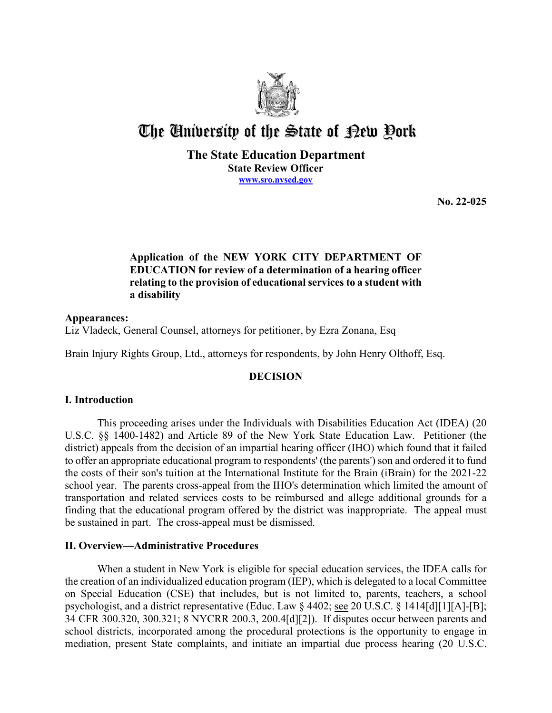

# The University of the State of Pew Pork

**The State Education Department State Review Officer [www.sro.nysed.gov](http://www.sro.nysed.gov/)** 

**No. 22-025** 

# **Application of the NEW YORK CITY DEPARTMENT OF EDUCATION for review of a determination of a hearing officer relating to the provision of educational services to a student with a disability**

**Appearances:**  Liz Vladeck, General Counsel, attorneys for petitioner, by Ezra Zonana, Esq

Brain Injury Rights Group, Ltd., attorneys for respondents, by John Henry Olthoff, Esq.

# **DECISION**

# **I. Introduction**

This proceeding arises under the Individuals with Disabilities Education Act (IDEA) (20 U.S.C. §§ 1400-1482) and Article 89 of the New York State Education Law. Petitioner (the district) appeals from the decision of an impartial hearing officer (IHO) which found that it failed to offer an appropriate educational program to respondents' (the parents') son and ordered it to fund the costs of their son's tuition at the International Institute for the Brain (iBrain) for the 2021-22 school year. The parents cross-appeal from the IHO's determination which limited the amount of transportation and related services costs to be reimbursed and allege additional grounds for a finding that the educational program offered by the district was inappropriate. The appeal must be sustained in part. The cross-appeal must be dismissed.

# **II. Overview—Administrative Procedures**

 the creation of an individualized education program (IEP), which is delegated to a local Committee on Special Education (CSE) that includes, but is not limited to, parents, teachers, a school When a student in New York is eligible for special education services, the IDEA calls for psychologist, and a district representative (Educ. Law § 4402; see 20 U.S.C. § 1414[d][1][A]-[B]; 34 CFR 300.320, 300.321; 8 NYCRR 200.3, 200.4[d][2]). If disputes occur between parents and school districts, incorporated among the procedural protections is the opportunity to engage in mediation, present State complaints, and initiate an impartial due process hearing (20 U.S.C.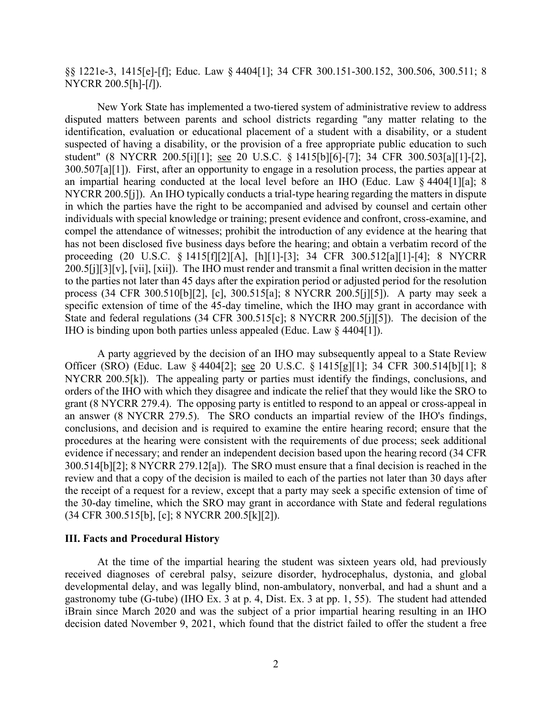§§ 1221e-3, 1415[e]-[f]; Educ. Law § 4404[1]; 34 CFR 300.151-300.152, 300.506, 300.511; 8 NYCRR 200.5[h]-[*l*]).

 New York State has implemented a two-tiered system of administrative review to address disputed matters between parents and school districts regarding "any matter relating to the 300.507[a][1]). First, after an opportunity to engage in a resolution process, the parties appear at NYCRR 200.5[j]). An IHO typically conducts a trial-type hearing regarding the matters in dispute process (34 CFR 300.510[b][2], [c], 300.515[a]; 8 NYCRR 200.5[j][5]). A party may seek a IHO is binding upon both parties unless appealed (Educ. Law § 4404[1]). identification, evaluation or educational placement of a student with a disability, or a student suspected of having a disability, or the provision of a free appropriate public education to such student" (8 NYCRR 200.5[i][1]; see 20 U.S.C. § 1415[b][6]-[7]; 34 CFR 300.503[a][1]-[2], an impartial hearing conducted at the local level before an IHO (Educ. Law § 4404[1][a]; 8 in which the parties have the right to be accompanied and advised by counsel and certain other individuals with special knowledge or training; present evidence and confront, cross-examine, and compel the attendance of witnesses; prohibit the introduction of any evidence at the hearing that has not been disclosed five business days before the hearing; and obtain a verbatim record of the proceeding (20 U.S.C. § 1415[f][2][A], [h][1]-[3]; 34 CFR 300.512[a][1]-[4]; 8 NYCRR 200.5[j][3][v], [vii], [xii]). The IHO must render and transmit a final written decision in the matter to the parties not later than 45 days after the expiration period or adjusted period for the resolution specific extension of time of the 45-day timeline, which the IHO may grant in accordance with State and federal regulations (34 CFR 300.515[c]; 8 NYCRR 200.5[j][5]). The decision of the

Officer (SRO) (Educ. Law § 4404[2]; <u>see</u> 20 U.S.C. § 1415[g][1]; 34 CFR 300.514[b][1]; 8 NYCRR 200.5[k]). The appealing party or parties must identify the findings, conclusions, and 300.514[b][2]; 8 NYCRR 279.12[a]). The SRO must ensure that a final decision is reached in the review and that a copy of the decision is mailed to each of the parties not later than 30 days after A party aggrieved by the decision of an IHO may subsequently appeal to a State Review orders of the IHO with which they disagree and indicate the relief that they would like the SRO to grant (8 NYCRR 279.4). The opposing party is entitled to respond to an appeal or cross-appeal in an answer (8 NYCRR 279.5). The SRO conducts an impartial review of the IHO's findings, conclusions, and decision and is required to examine the entire hearing record; ensure that the procedures at the hearing were consistent with the requirements of due process; seek additional evidence if necessary; and render an independent decision based upon the hearing record (34 CFR the receipt of a request for a review, except that a party may seek a specific extension of time of the 30-day timeline, which the SRO may grant in accordance with State and federal regulations (34 CFR 300.515[b], [c]; 8 NYCRR 200.5[k][2]).

## **III. Facts and Procedural History**

 developmental delay, and was legally blind, non-ambulatory, nonverbal, and had a shunt and a gastronomy tube (G-tube) (IHO Ex. 3 at p. 4, Dist. Ex. 3 at pp. 1, 55). The student had attended iBrain since March 2020 and was the subject of a prior impartial hearing resulting in an IHO decision dated November 9, 2021, which found that the district failed to offer the student a free At the time of the impartial hearing the student was sixteen years old, had previously received diagnoses of cerebral palsy, seizure disorder, hydrocephalus, dystonia, and global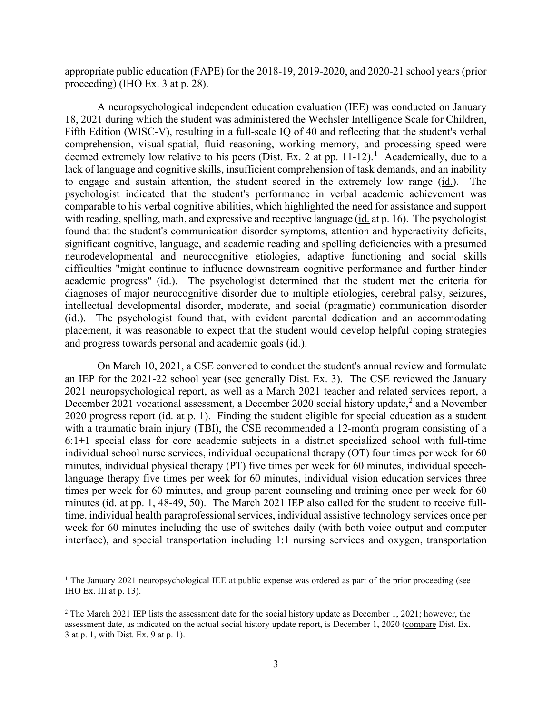proceeding) (IHO Ex. 3 at p. 28). appropriate public education (FAPE) for the 2018-19, 2019-2020, and 2020-21 school years (prior

 A neuropsychological independent education evaluation (IEE) was conducted on January deemed extremely low relative to his peers (Dist. Ex. 2 at pp. 11-12).<sup>1</sup> Academically, due to a to engage and sustain attention, the student scored in the extremely low range (*id.*). The comparable to his verbal cognitive abilities, which highlighted the need for assistance and support with reading, spelling, math, and expressive and receptive language (*id.* at p. 16). The psychologist academic progress" (id.). The psychologist determined that the student met the criteria for (id.). The psychologist found that, with evident parental dedication and an accommodating and progress towards personal and academic goals (id.). 18, 2021 during which the student was administered the Wechsler Intelligence Scale for Children, Fifth Edition (WISC-V), resulting in a full-scale IQ of 40 and reflecting that the student's verbal comprehension, visual-spatial, fluid reasoning, working memory, and processing speed were lack of language and cognitive skills, insufficient comprehension of task demands, and an inability psychologist indicated that the student's performance in verbal academic achievement was found that the student's communication disorder symptoms, attention and hyperactivity deficits, significant cognitive, language, and academic reading and spelling deficiencies with a presumed neurodevelopmental and neurocognitive etiologies, adaptive functioning and social skills difficulties "might continue to influence downstream cognitive performance and further hinder diagnoses of major neurocognitive disorder due to multiple etiologies, cerebral palsy, seizures, intellectual developmental disorder, moderate, and social (pragmatic) communication disorder placement, it was reasonable to expect that the student would develop helpful coping strategies

an IEP for the 2021-22 school year (see generally Dist. Ex. 3). The CSE reviewed the January 2020 progress report (id. at p. 1). Finding the student eligible for special education as a student 6:1+1 special class for core academic subjects in a district specialized school with full-time individual school nurse services, individual occupational therapy (OT) four times per week for 60 minutes, individual physical therapy (PT) five times per week for 60 minutes, individual speechminutes (id. at pp. 1, 48-49, 50). The March 2021 IEP also called for the student to receive full- time, individual health paraprofessional services, individual assistive technology services once per interface), and special transportation including 1:1 nursing services and oxygen, transportation On March 10, 2021, a CSE convened to conduct the student's annual review and formulate 2021 neuropsychological report, as well as a March 2021 teacher and related services report, a December 2021 vocational assessment, a December 2020 social history update,<sup>2</sup> and a November with a traumatic brain injury (TBI), the CSE recommended a 12-month program consisting of a language therapy five times per week for 60 minutes, individual vision education services three times per week for 60 minutes, and group parent counseling and training once per week for 60 week for 60 minutes including the use of switches daily (with both voice output and computer

<span id="page-2-0"></span><sup>&</sup>lt;sup>1</sup> The January 2021 neuropsychological IEE at public expense was ordered as part of the prior proceeding (see IHO Ex. III at p. 13).

<span id="page-2-1"></span> $2^2$  The March 2021 IEP lists the assessment date for the social history update as December 1, 2021; however, the assessment date, as indicated on the actual social history update report, is December 1, 2020 (compare Dist. Ex. 3 at p. 1, with Dist. Ex. 9 at p. 1).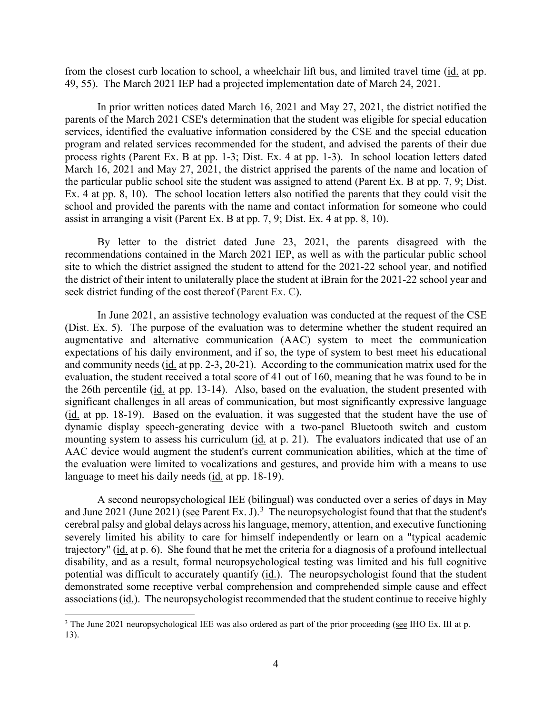from the closest curb location to school, a wheelchair lift bus, and limited travel time (*id.* at pp. 49, 55). The March 2021 IEP had a projected implementation date of March 24, 2021.

 In prior written notices dated March 16, 2021 and May 27, 2021, the district notified the process rights (Parent Ex. B at pp. 1-3; Dist. Ex. 4 at pp. 1-3). In school location letters dated Ex. 4 at pp. 8, 10). The school location letters also notified the parents that they could visit the assist in arranging a visit (Parent Ex. B at pp. 7, 9; Dist. Ex. 4 at pp. 8, 10). parents of the March 2021 CSE's determination that the student was eligible for special education services, identified the evaluative information considered by the CSE and the special education program and related services recommended for the student, and advised the parents of their due March 16, 2021 and May 27, 2021, the district apprised the parents of the name and location of the particular public school site the student was assigned to attend (Parent Ex. B at pp. 7, 9; Dist. school and provided the parents with the name and contact information for someone who could

By letter to the district dated June 23, 2021, the parents disagreed with the recommendations contained in the March 2021 IEP, as well as with the particular public school site to which the district assigned the student to attend for the 2021-22 school year, and notified the district of their intent to unilaterally place the student at iBrain for the 2021-22 school year and seek district funding of the cost thereof (Parent Ex. C).

 In June 2021, an assistive technology evaluation was conducted at the request of the CSE (Dist. Ex. 5). The purpose of the evaluation was to determine whether the student required an expectations of his daily environment, and if so, the type of system to best meet his educational and community needs (id. at pp. 2-3, 20-21). According to the communication matrix used for the the 26th percentile (*id.* at pp. 13-14). Also, based on the evaluation, the student presented with mounting system to assess his curriculum (id. at p. 21). The evaluators indicated that use of an the evaluation were limited to vocalizations and gestures, and provide him with a means to use augmentative and alternative communication (AAC) system to meet the communication evaluation, the student received a total score of 41 out of 160, meaning that he was found to be in significant challenges in all areas of communication, but most significantly expressive language (id. at pp. 18-19). Based on the evaluation, it was suggested that the student have the use of dynamic display speech-generating device with a two-panel Bluetooth switch and custom AAC device would augment the student's current communication abilities, which at the time of language to meet his daily needs (id. at pp. 18-19).

 A second neuropsychological IEE (bilingual) was conducted over a series of days in May and June 2021 (June 2021) (see Parent Ex. J).<sup>3</sup> The neuropsychologist found that that the student's trajectory" (id. at p. 6). She found that he met the criteria for a diagnosis of a profound intellectual potential was difficult to accurately quantify (id.). The neuropsychologist found that the student cerebral palsy and global delays across his language, memory, attention, and executive functioning severely limited his ability to care for himself independently or learn on a "typical academic disability, and as a result, formal neuropsychological testing was limited and his full cognitive demonstrated some receptive verbal comprehension and comprehended simple cause and effect associations (id.). The neuropsychologist recommended that the student continue to receive highly

<span id="page-3-0"></span><sup>&</sup>lt;sup>3</sup> The June 2021 neuropsychological IEE was also ordered as part of the prior proceeding (see IHO Ex. III at p. 13).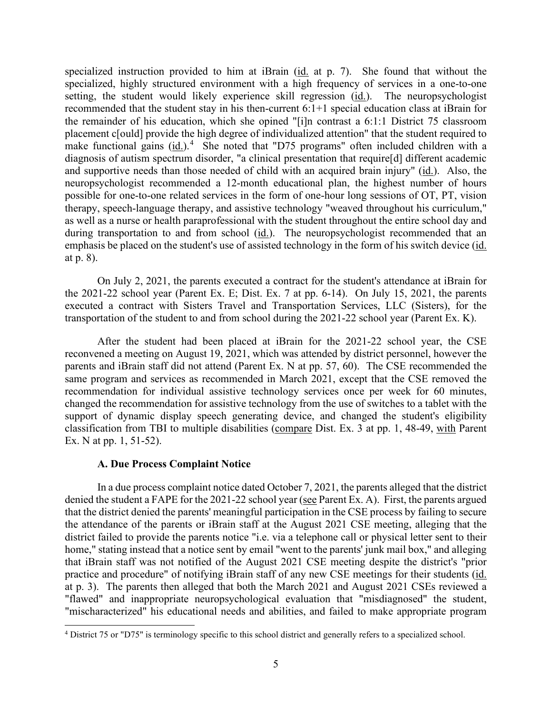the remainder of his education, which she opined "[i]n contrast a 6:1:1 District 75 classroom placement c[ould] provide the high degree of individualized attention" that the student required to make functional gains  $(id.)$ <sup>4</sup> She noted that "D75 programs" often included children with a specialized instruction provided to him at iBrain (id. at p. 7). She found that without the specialized, highly structured environment with a high frequency of services in a one-to-one setting, the student would likely experience skill regression (id.). The neuropsychologist recommended that the student stay in his then-current 6:1+1 special education class at iBrain for diagnosis of autism spectrum disorder, "a clinical presentation that require[d] different academic and supportive needs than those needed of child with an acquired brain injury" (id.). Also, the neuropsychologist recommended a 12-month educational plan, the highest number of hours possible for one-to-one related services in the form of one-hour long sessions of OT, PT, vision therapy, speech-language therapy, and assistive technology "weaved throughout his curriculum," as well as a nurse or health paraprofessional with the student throughout the entire school day and during transportation to and from school (id.). The neuropsychologist recommended that an emphasis be placed on the student's use of assisted technology in the form of his switch device (id. at p. 8).

 the 2021-22 school year (Parent Ex. E; Dist. Ex. 7 at pp. 6-14). On July 15, 2021, the parents executed a contract with Sisters Travel and Transportation Services, LLC (Sisters), for the On July 2, 2021, the parents executed a contract for the student's attendance at iBrain for transportation of the student to and from school during the 2021-22 school year (Parent Ex. K).

 reconvened a meeting on August 19, 2021, which was attended by district personnel, however the parents and iBrain staff did not attend (Parent Ex. N at pp. 57, 60). The CSE recommended the support of dynamic display speech generating device, and changed the student's eligibility classification from TBI to multiple disabilities (compare Dist. Ex. 3 at pp. 1, 48-49, with Parent After the student had been placed at iBrain for the 2021-22 school year, the CSE same program and services as recommended in March 2021, except that the CSE removed the recommendation for individual assistive technology services once per week for 60 minutes, changed the recommendation for assistive technology from the use of switches to a tablet with the Ex. N at pp. 1, 51-52).

# **A. Due Process Complaint Notice**

denied the student a FAPE for the 2021-22 school year (see Parent Ex. A). First, the parents argued at p. 3). The parents then alleged that both the March 2021 and August 2021 CSEs reviewed a "flawed" and inappropriate neuropsychological evaluation that "misdiagnosed" the student, "mischaracterized" his educational needs and abilities, and failed to make appropriate program In a due process complaint notice dated October 7, 2021, the parents alleged that the district that the district denied the parents' meaningful participation in the CSE process by failing to secure the attendance of the parents or iBrain staff at the August 2021 CSE meeting, alleging that the district failed to provide the parents notice "i.e. via a telephone call or physical letter sent to their home," stating instead that a notice sent by email "went to the parents' junk mail box," and alleging that iBrain staff was not notified of the August 2021 CSE meeting despite the district's "prior practice and procedure" of notifying iBrain staff of any new CSE meetings for their students (id.

<span id="page-4-0"></span><sup>&</sup>lt;sup>4</sup> District 75 or "D75" is terminology specific to this school district and generally refers to a specialized school.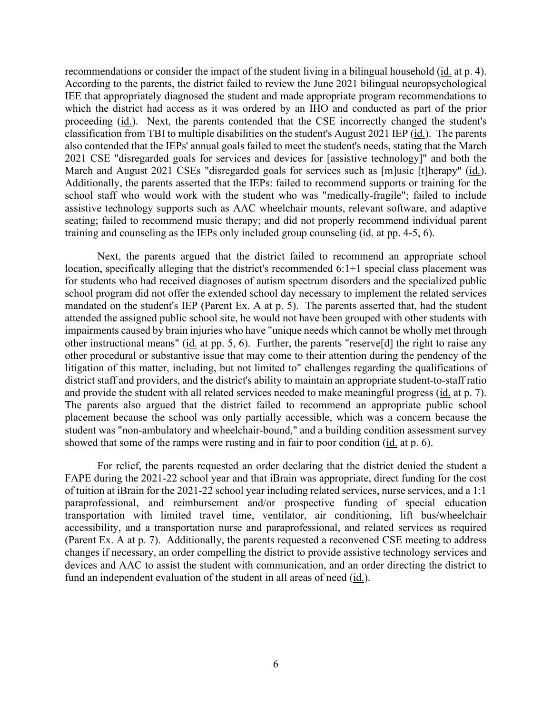recommendations or consider the impact of the student living in a bilingual household (id. at p. 4). According to the parents, the district failed to review the June 2021 bilingual neuropsychological IEE that appropriately diagnosed the student and made appropriate program recommendations to which the district had access as it was ordered by an IHO and conducted as part of the prior proceeding (*id.*). Next, the parents contended that the CSE incorrectly changed the student's classification from TBI to multiple disabilities on the student's August 2021 IEP (id.). The parents March and August 2021 CSEs "disregarded goals for services such as [m]usic [t]herapy" (id.). assistive technology supports such as AAC wheelchair mounts, relevant software, and adaptive training and counseling as the IEPs only included group counseling (*id.* at pp. 4-5, 6). also contended that the IEPs' annual goals failed to meet the student's needs, stating that the March 2021 CSE "disregarded goals for services and devices for [assistive technology]" and both the Additionally, the parents asserted that the IEPs: failed to recommend supports or training for the school staff who would work with the student who was "medically-fragile"; failed to include seating; failed to recommend music therapy; and did not properly recommend individual parent

 mandated on the student's IEP (Parent Ex. A at p. 5). The parents asserted that, had the student attended the assigned public school site, he would not have been grouped with other students with other instructional means" (id. at pp. 5, 6). Further, the parents "reserve[d] the right to raise any and provide the student with all related services needed to make meaningful progress (id. at p. 7). showed that some of the ramps were rusting and in fair to poor condition (id. at p. 6). Next, the parents argued that the district failed to recommend an appropriate school location, specifically alleging that the district's recommended 6:1+1 special class placement was for students who had received diagnoses of autism spectrum disorders and the specialized public school program did not offer the extended school day necessary to implement the related services impairments caused by brain injuries who have "unique needs which cannot be wholly met through other procedural or substantive issue that may come to their attention during the pendency of the litigation of this matter, including, but not limited to" challenges regarding the qualifications of district staff and providers, and the district's ability to maintain an appropriate student-to-staff ratio The parents also argued that the district failed to recommend an appropriate public school placement because the school was only partially accessible, which was a concern because the student was "non-ambulatory and wheelchair-bound," and a building condition assessment survey

 For relief, the parents requested an order declaring that the district denied the student a of tuition at iBrain for the 2021-22 school year including related services, nurse services, and a 1:1 fund an independent evaluation of the student in all areas of need  $(id.)$ . FAPE during the 2021-22 school year and that iBrain was appropriate, direct funding for the cost paraprofessional, and reimbursement and/or prospective funding of special education transportation with limited travel time, ventilator, air conditioning, lift bus/wheelchair accessibility, and a transportation nurse and paraprofessional, and related services as required (Parent Ex. A at p. 7). Additionally, the parents requested a reconvened CSE meeting to address changes if necessary, an order compelling the district to provide assistive technology services and devices and AAC to assist the student with communication, and an order directing the district to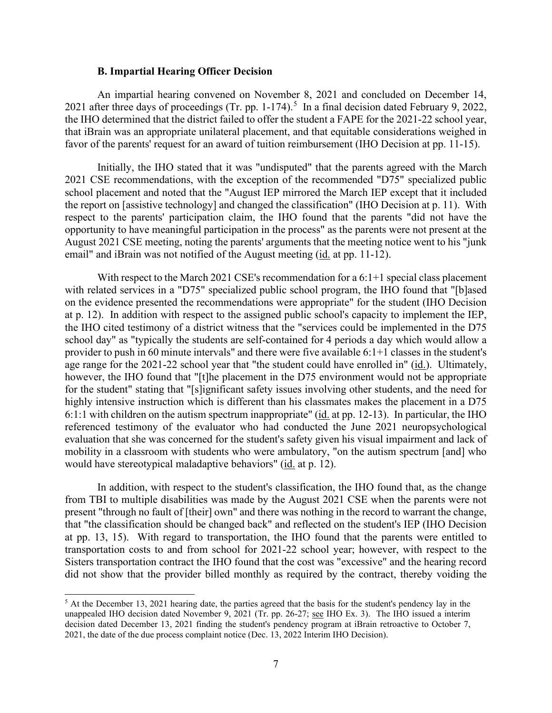#### **B. Impartial Hearing Officer Decision**

2021 after three days of proceedings (Tr. pp. 1-174).<sup>5</sup> In a final decision dated February 9, 2022, An impartial hearing convened on November 8, 2021 and concluded on December 14, the IHO determined that the district failed to offer the student a FAPE for the 2021-22 school year, that iBrain was an appropriate unilateral placement, and that equitable considerations weighed in favor of the parents' request for an award of tuition reimbursement (IHO Decision at pp. 11-15).

 opportunity to have meaningful participation in the process" as the parents were not present at the Initially, the IHO stated that it was "undisputed" that the parents agreed with the March 2021 CSE recommendations, with the exception of the recommended "D75" specialized public school placement and noted that the "August IEP mirrored the March IEP except that it included the report on [assistive technology] and changed the classification" (IHO Decision at p. 11). With respect to the parents' participation claim, the IHO found that the parents "did not have the August 2021 CSE meeting, noting the parents' arguments that the meeting notice went to his "junk email" and iBrain was not notified of the August meeting (id. at pp. 11-12).

 on the evidence presented the recommendations were appropriate" for the student (IHO Decision the IHO cited testimony of a district witness that the "services could be implemented in the D75 age range for the 2021-22 school year that "the student could have enrolled in" (id.). Ultimately, 6:1:1 with children on the autism spectrum inappropriate" (*id.* at pp. 12-13). In particular, the IHO evaluation that she was concerned for the student's safety given his visual impairment and lack of mobility in a classroom with students who were ambulatory, "on the autism spectrum [and] who would have stereotypical maladaptive behaviors" (id. at p. 12). With respect to the March 2021 CSE's recommendation for a  $6:1+1$  special class placement with related services in a "D75" specialized public school program, the IHO found that "[b]ased at p. 12). In addition with respect to the assigned public school's capacity to implement the IEP, school day" as "typically the students are self-contained for 4 periods a day which would allow a provider to push in 60 minute intervals" and there were five available 6:1+1 classes in the student's however, the IHO found that "[t]he placement in the D75 environment would not be appropriate for the student" stating that "[s]ignificant safety issues involving other students, and the need for highly intensive instruction which is different than his classmates makes the placement in a D75 referenced testimony of the evaluator who had conducted the June 2021 neuropsychological

 In addition, with respect to the student's classification, the IHO found that, as the change from TBI to multiple disabilities was made by the August 2021 CSE when the parents were not present "through no fault of [their] own" and there was nothing in the record to warrant the change, at pp. 13, 15). With regard to transportation, the IHO found that the parents were entitled to transportation costs to and from school for 2021-22 school year; however, with respect to the Sisters transportation contract the IHO found that the cost was "excessive" and the hearing record that "the classification should be changed back" and reflected on the student's IEP (IHO Decision did not show that the provider billed monthly as required by the contract, thereby voiding the

<span id="page-6-0"></span>unappealed IHO decision dated November 9, 2021 (Tr. pp. 26-27; see IHO Ex. 3). The IHO issued a interim decision dated December 13, 2021 finding the student's pendency program at iBrain retroactive to October 7, 2021, the date of the due process complaint notice (Dec. 13, 2022 Interim IHO Decision).  $<sup>5</sup>$  At the December 13, 2021 hearing date, the parties agreed that the basis for the student's pendency lay in the</sup>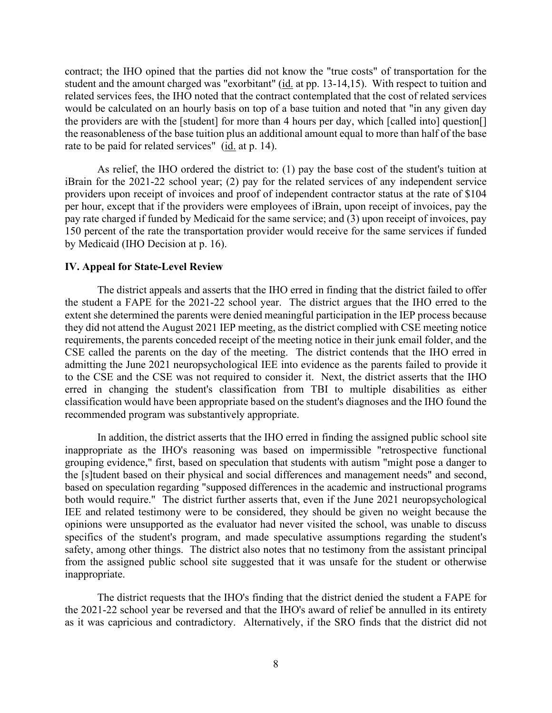contract; the IHO opined that the parties did not know the "true costs" of transportation for the student and the amount charged was "exorbitant" (id. at pp. 13-14,15). With respect to tuition and would be calculated on an hourly basis on top of a base tuition and noted that "in any given day rate to be paid for related services" (*id.* at p. 14). related services fees, the IHO noted that the contract contemplated that the cost of related services the providers are with the [student] for more than 4 hours per day, which [called into] question[] the reasonableness of the base tuition plus an additional amount equal to more than half of the base

 providers upon receipt of invoices and proof of independent contractor status at the rate of \$104 150 percent of the rate the transportation provider would receive for the same services if funded As relief, the IHO ordered the district to: (1) pay the base cost of the student's tuition at iBrain for the 2021-22 school year; (2) pay for the related services of any independent service per hour, except that if the providers were employees of iBrain, upon receipt of invoices, pay the pay rate charged if funded by Medicaid for the same service; and (3) upon receipt of invoices, pay by Medicaid (IHO Decision at p. 16).

# **IV. Appeal for State-Level Review**

 The district appeals and asserts that the IHO erred in finding that the district failed to offer extent she determined the parents were denied meaningful participation in the IEP process because CSE called the parents on the day of the meeting. The district contends that the IHO erred in to the CSE and the CSE was not required to consider it. Next, the district asserts that the IHO the student a FAPE for the 2021-22 school year. The district argues that the IHO erred to the they did not attend the August 2021 IEP meeting, as the district complied with CSE meeting notice requirements, the parents conceded receipt of the meeting notice in their junk email folder, and the admitting the June 2021 neuropsychological IEE into evidence as the parents failed to provide it erred in changing the student's classification from TBI to multiple disabilities as either classification would have been appropriate based on the student's diagnoses and the IHO found the recommended program was substantively appropriate.

 grouping evidence," first, based on speculation that students with autism "might pose a danger to based on speculation regarding "supposed differences in the academic and instructional programs both would require." The district further asserts that, even if the June 2021 neuropsychological IEE and related testimony were to be considered, they should be given no weight because the safety, among other things. The district also notes that no testimony from the assistant principal In addition, the district asserts that the IHO erred in finding the assigned public school site inappropriate as the IHO's reasoning was based on impermissible "retrospective functional the [s]tudent based on their physical and social differences and management needs" and second, opinions were unsupported as the evaluator had never visited the school, was unable to discuss specifics of the student's program, and made speculative assumptions regarding the student's from the assigned public school site suggested that it was unsafe for the student or otherwise inappropriate.

 The district requests that the IHO's finding that the district denied the student a FAPE for as it was capricious and contradictory. Alternatively, if the SRO finds that the district did not the 2021-22 school year be reversed and that the IHO's award of relief be annulled in its entirety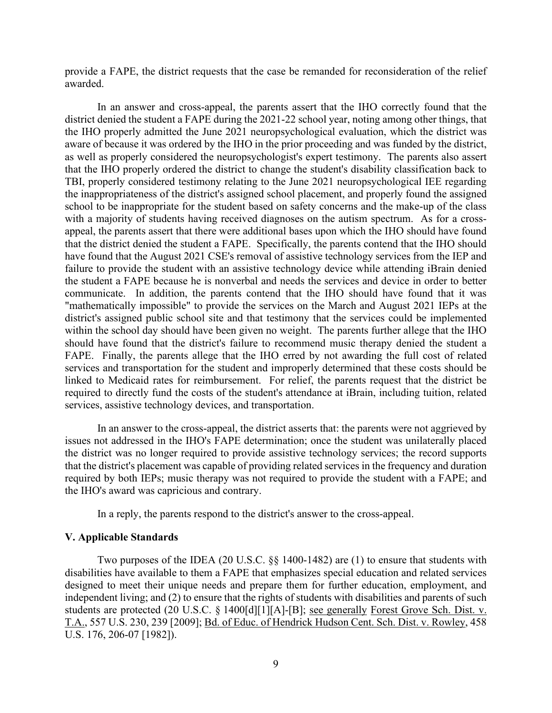provide a FAPE, the district requests that the case be remanded for reconsideration of the relief awarded.

 aware of because it was ordered by the IHO in the prior proceeding and was funded by the district, as well as properly considered the neuropsychologist's expert testimony. The parents also assert with a majority of students having received diagnoses on the autism spectrum. As for a cross- appeal, the parents assert that there were additional bases upon which the IHO should have found have found that the August 2021 CSE's removal of assistive technology services from the IEP and within the school day should have been given no weight. The parents further allege that the IHO FAPE. Finally, the parents allege that the IHO erred by not awarding the full cost of related services and transportation for the student and improperly determined that these costs should be linked to Medicaid rates for reimbursement. For relief, the parents request that the district be In an answer and cross-appeal, the parents assert that the IHO correctly found that the district denied the student a FAPE during the 2021-22 school year, noting among other things, that the IHO properly admitted the June 2021 neuropsychological evaluation, which the district was that the IHO properly ordered the district to change the student's disability classification back to TBI, properly considered testimony relating to the June 2021 neuropsychological IEE regarding the inappropriateness of the district's assigned school placement, and properly found the assigned school to be inappropriate for the student based on safety concerns and the make-up of the class that the district denied the student a FAPE. Specifically, the parents contend that the IHO should failure to provide the student with an assistive technology device while attending iBrain denied the student a FAPE because he is nonverbal and needs the services and device in order to better communicate. In addition, the parents contend that the IHO should have found that it was "mathematically impossible" to provide the services on the March and August 2021 IEPs at the district's assigned public school site and that testimony that the services could be implemented should have found that the district's failure to recommend music therapy denied the student a required to directly fund the costs of the student's attendance at iBrain, including tuition, related services, assistive technology devices, and transportation.

 In an answer to the cross-appeal, the district asserts that: the parents were not aggrieved by issues not addressed in the IHO's FAPE determination; once the student was unilaterally placed the district was no longer required to provide assistive technology services; the record supports that the district's placement was capable of providing related services in the frequency and duration required by both IEPs; music therapy was not required to provide the student with a FAPE; and the IHO's award was capricious and contrary.

In a reply, the parents respond to the district's answer to the cross-appeal.

## **V. Applicable Standards**

Two purposes of the IDEA (20 U.S.C. §§ 1400-1482) are (1) to ensure that students with disabilities have available to them a FAPE that emphasizes special education and related services designed to meet their unique needs and prepare them for further education, employment, and independent living; and (2) to ensure that the rights of students with disabilities and parents of such students are protected (20 U.S.C. § 1400[d][1][A]-[B]; see generally Forest Grove Sch. Dist. v. T.A., 557 U.S. 230, 239 [2009]; Bd. of Educ. of Hendrick Hudson Cent. Sch. Dist. v. Rowley, 458 U.S. 176, 206-07 [1982]).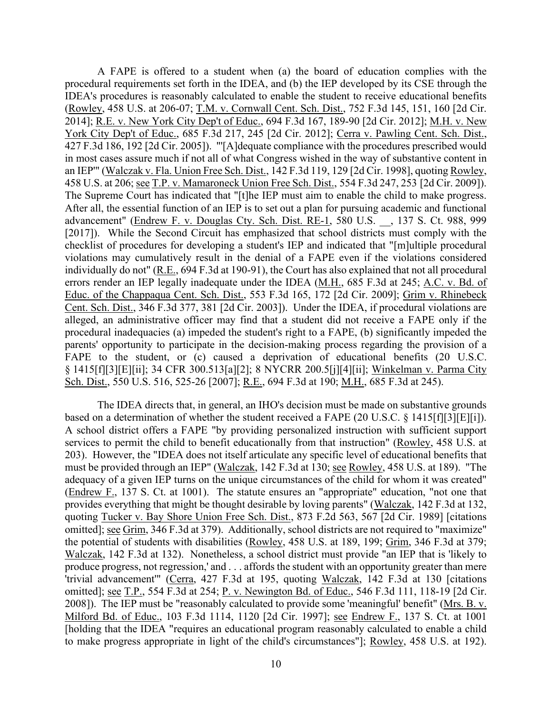A FAPE is offered to a student when (a) the board of education complies with the 2014]; <u>R.E. v. New York City Dep't of Educ.</u>, 694 F.3d 167, 189-90 [2d Cir. 2012]; <u>M.H. v. New</u> 458 U.S. at 206; see T.P. v. Mamaroneck Union Free Sch. Dist., 554 F.3d 247, 253 [2d Cir. 2009]). errors render an IEP legally inadequate under the IDEA (M.H., 685 F.3d at 245; A.C. v. Bd. of parents' opportunity to participate in the decision-making process regarding the provision of a procedural requirements set forth in the IDEA, and (b) the IEP developed by its CSE through the IDEA's procedures is reasonably calculated to enable the student to receive educational benefits (Rowley, 458 U.S. at 206-07; T.M. v. Cornwall Cent. Sch. Dist., 752 F.3d 145, 151, 160 [2d Cir. York City Dep't of Educ., 685 F.3d 217, 245 [2d Cir. 2012]; Cerra v. Pawling Cent. Sch. Dist., 427 F.3d 186, 192 [2d Cir. 2005]). "'[A]dequate compliance with the procedures prescribed would in most cases assure much if not all of what Congress wished in the way of substantive content in an IEP'" (Walczak v. Fla. Union Free Sch. Dist., 142 F.3d 119, 129 [2d Cir. 1998], quoting Rowley, 458 U.S. at 206; <u>see T.P. v. Mamaroneck Union Free Sch. Dist.</u>, 554 F.3d 247, 253 [2d Cir. 2009]).<br>The Supreme Court has indicated that "[t]he IEP must aim to enable the child to make progress.<br>After all, the essential fu advancement" (Endrew F. v. Douglas Cty. Sch. Dist. RE-1, 580 U.S. \_\_, 137 S. Ct. 988, 999 [2017]). While the Second Circuit has emphasized that school districts must comply with the checklist of procedures for developing a student's IEP and indicated that "[m]ultiple procedural violations may cumulatively result in the denial of a FAPE even if the violations considered individually do not" (R.E., 694 F.3d at 190-91), the Court has also explained that not all procedural Educ. of the Chappaqua Cent. Sch. Dist., 553 F.3d 165, 172 [2d Cir. 2009]; Grim v. Rhinebeck Cent. Sch. Dist., 346 F.3d 377, 381 [2d Cir. 2003]). Under the IDEA, if procedural violations are alleged, an administrative officer may find that a student did not receive a FAPE only if the procedural inadequacies (a) impeded the student's right to a FAPE, (b) significantly impeded the FAPE to the student, or (c) caused a deprivation of educational benefits (20 U.S.C. § 1415[f][3][E][ii]; 34 CFR 300.513[a][2]; 8 NYCRR 200.5[j][4][ii]; Winkelman v. Parma City Sch. Dist., 550 U.S. 516, 525-26 [2007]; R.E., 694 F.3d at 190; M.H., 685 F.3d at 245).

based on a determination of whether the student received a FAPE  $(20 \text{ U.S.C. } 8 \text{ 1415}[\text{f}][3][\text{E}][i])$ . adequacy of a given IEP turns on the unique circumstances of the child for whom it was created" produce progress, not regression,' and . . . affords the student with an opportunity greater than mere The IDEA directs that, in general, an IHO's decision must be made on substantive grounds A school district offers a FAPE "by providing personalized instruction with sufficient support services to permit the child to benefit educationally from that instruction" (Rowley, 458 U.S. at 203). However, the "IDEA does not itself articulate any specific level of educational benefits that must be provided through an IEP" (Walczak, 142 F.3d at 130; see Rowley, 458 U.S. at 189). "The (Endrew F., 137 S. Ct. at 1001). The statute ensures an "appropriate" education, "not one that provides everything that might be thought desirable by loving parents" (Walczak, 142 F.3d at 132, quoting Tucker v. Bay Shore Union Free Sch. Dist., 873 F.2d 563, 567 [2d Cir. 1989] [citations omitted]; see Grim, 346 F.3d at 379). Additionally, school districts are not required to "maximize" the potential of students with disabilities (Rowley, 458 U.S. at 189, 199; Grim, 346 F.3d at 379; Walczak, 142 F.3d at 132). Nonetheless, a school district must provide "an IEP that is 'likely to 'trivial advancement'" (Cerra, 427 F.3d at 195, quoting Walczak, 142 F.3d at 130 [citations omitted]; see T.P., 554 F.3d at 254; P. v. Newington Bd. of Educ., 546 F.3d 111, 118-19 [2d Cir. 2008]). The IEP must be "reasonably calculated to provide some 'meaningful' benefit" (Mrs. B. v. Milford Bd. of Educ., 103 F.3d 1114, 1120 [2d Cir. 1997]; see Endrew F., 137 S. Ct. at 1001 [holding that the IDEA "requires an educational program reasonably calculated to enable a child to make progress appropriate in light of the child's circumstances"]; Rowley, 458 U.S. at 192).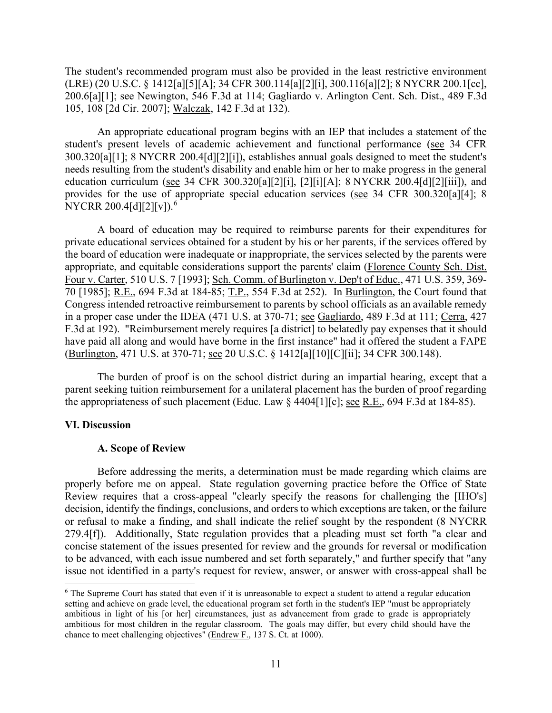200.6[a][1]; <u>see Newington,</u> 546 F.3d at 114; Gagliardo v. Arlington Cent. Sch. Dist., 489 F.3d The student's recommended program must also be provided in the least restrictive environment (LRE) (20 U.S.C. § 1412[a][5][A]; 34 CFR 300.114[a][2][i], 300.116[a][2]; 8 NYCRR 200.1[cc], 105, 108 [2d Cir. 2007]; Walczak, 142 F.3d at 132).

An appropriate educational program begins with an IEP that includes a statement of the student's present levels of academic achievement and functional performance (see 34 CFR 300.320[a][1]; 8 NYCRR 200.4[d][2][i]), establishes annual goals designed to meet the student's needs resulting from the student's disability and enable him or her to make progress in the general education curriculum (see 34 CFR 300.320[a][2][i], [2][i][A]; 8 NYCRR 200.4[d][2][iii]), and provides for the use of appropriate special education services (see 34 CFR 300.320[a][4]; 8 NYCRR 200.4[d][2][v]).<sup>6</sup>

 70 [1985]; R.E., 694 F.3d at 184-85; T.P., 554 F.3d at 252). In Burlington, the Court found that in a proper case under the IDEA (471 U.S. at 370-71; see Gagliardo, 489 F.3d at 111; Cerra, 427 (Burlington, 471 U.S. at 370-71; <u>see</u> 20 U.S.C. § 1412[a][10][C][ii]; 34 CFR 300.148). A board of education may be required to reimburse parents for their expenditures for private educational services obtained for a student by his or her parents, if the services offered by the board of education were inadequate or inappropriate, the services selected by the parents were appropriate, and equitable considerations support the parents' claim (Florence County Sch. Dist. Four v. Carter, 510 U.S. 7 [1993]; Sch. Comm. of Burlington v. Dep't of Educ., 471 U.S. 359, 369- Congress intended retroactive reimbursement to parents by school officials as an available remedy F.3d at 192). "Reimbursement merely requires [a district] to belatedly pay expenses that it should have paid all along and would have borne in the first instance" had it offered the student a FAPE

the appropriateness of such placement (Educ. Law  $\S$  4404[1][c]; <u>see R.E.</u>, 694 F.3d at 184-85). The burden of proof is on the school district during an impartial hearing, except that a parent seeking tuition reimbursement for a unilateral placement has the burden of proof regarding

# **VI. Discussion**

#### **A. Scope of Review**

 decision, identify the findings, conclusions, and orders to which exceptions are taken, or the failure Before addressing the merits, a determination must be made regarding which claims are properly before me on appeal. State regulation governing practice before the Office of State Review requires that a cross-appeal "clearly specify the reasons for challenging the [IHO's] or refusal to make a finding, and shall indicate the relief sought by the respondent (8 NYCRR 279.4[f]). Additionally, State regulation provides that a pleading must set forth "a clear and concise statement of the issues presented for review and the grounds for reversal or modification to be advanced, with each issue numbered and set forth separately," and further specify that "any issue not identified in a party's request for review, answer, or answer with cross-appeal shall be

<span id="page-10-0"></span> ambitious in light of his [or her] circumstances, just as advancement from grade to grade is appropriately <sup>6</sup> The Supreme Court has stated that even if it is unreasonable to expect a student to attend a regular education setting and achieve on grade level, the educational program set forth in the student's IEP "must be appropriately ambitious for most children in the regular classroom. The goals may differ, but every child should have the chance to meet challenging objectives" (Endrew F., 137 S. Ct. at 1000).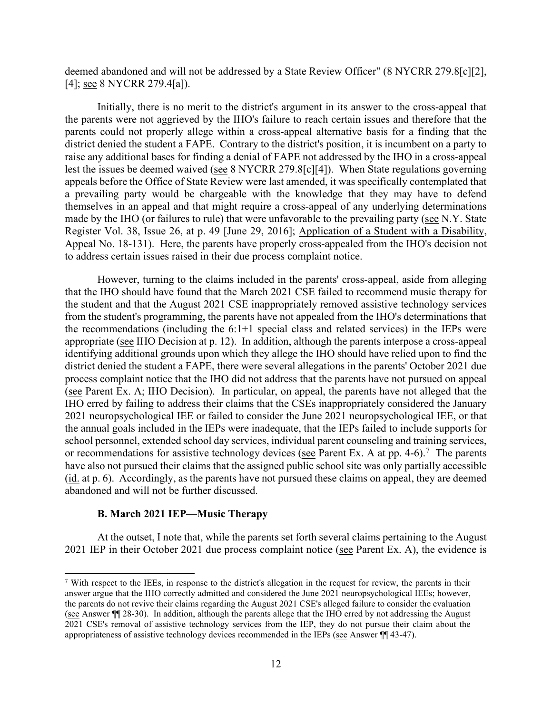deemed abandoned and will not be addressed by a State Review Officer" (8 NYCRR 279.8[c][2], [4]; see 8 NYCRR 279.4[a]).

 district denied the student a FAPE. Contrary to the district's position, it is incumbent on a party to lest the issues be deemed waived (see 8 NYCRR 279.8[c][4]). When State regulations governing made by the IHO (or failures to rule) that were unfavorable to the prevailing party (see N.Y. State Initially, there is no merit to the district's argument in its answer to the cross-appeal that the parents were not aggrieved by the IHO's failure to reach certain issues and therefore that the parents could not properly allege within a cross-appeal alternative basis for a finding that the raise any additional bases for finding a denial of FAPE not addressed by the IHO in a cross-appeal appeals before the Office of State Review were last amended, it was specifically contemplated that a prevailing party would be chargeable with the knowledge that they may have to defend themselves in an appeal and that might require a cross-appeal of any underlying determinations Register Vol. 38, Issue 26, at p. 49 [June 29, 2016]; Application of a Student with a Disability, Appeal No. 18-131). Here, the parents have properly cross-appealed from the IHO's decision not to address certain issues raised in their due process complaint notice.

 from the student's programming, the parents have not appealed from the IHO's determinations that the recommendations (including the 6:1+1 special class and related services) in the IEPs were appropriate (see IHO Decision at p. 12). In addition, although the parents interpose a cross-appeal school personnel, extended school day services, individual parent counseling and training services, or recommendations for assistive technology devices (see Parent Ex. A at pp. 4-6).<sup>7</sup> The parents However, turning to the claims included in the parents' cross-appeal, aside from alleging that the IHO should have found that the March 2021 CSE failed to recommend music therapy for the student and that the August 2021 CSE inappropriately removed assistive technology services identifying additional grounds upon which they allege the IHO should have relied upon to find the district denied the student a FAPE, there were several allegations in the parents' October 2021 due process complaint notice that the IHO did not address that the parents have not pursued on appeal (see Parent Ex. A; IHO Decision). In particular, on appeal, the parents have not alleged that the IHO erred by failing to address their claims that the CSEs inappropriately considered the January 2021 neuropsychological IEE or failed to consider the June 2021 neuropsychological IEE, or that the annual goals included in the IEPs were inadequate, that the IEPs failed to include supports for have also not pursued their claims that the assigned public school site was only partially accessible (id. at p. 6). Accordingly, as the parents have not pursued these claims on appeal, they are deemed abandoned and will not be further discussed.

#### **B. March 2021 IEP—Music Therapy**

2021 IEP in their October 2021 due process complaint notice (see Parent Ex. A), the evidence is At the outset, I note that, while the parents set forth several claims pertaining to the August

<span id="page-11-0"></span> $7$  With respect to the IEEs, in response to the district's allegation in the request for review, the parents in their (see Answer ¶ 28-30). In addition, although the parents allege that the IHO erred by not addressing the August 2021 CSE's removal of assistive technology services from the IEP, they do not pursue their claim about the answer argue that the IHO correctly admitted and considered the June 2021 neuropsychological IEEs; however, the parents do not revive their claims regarding the August 2021 CSE's alleged failure to consider the evaluation appropriateness of assistive technology devices recommended in the IEPs (see Answer ¶¶ 43-47).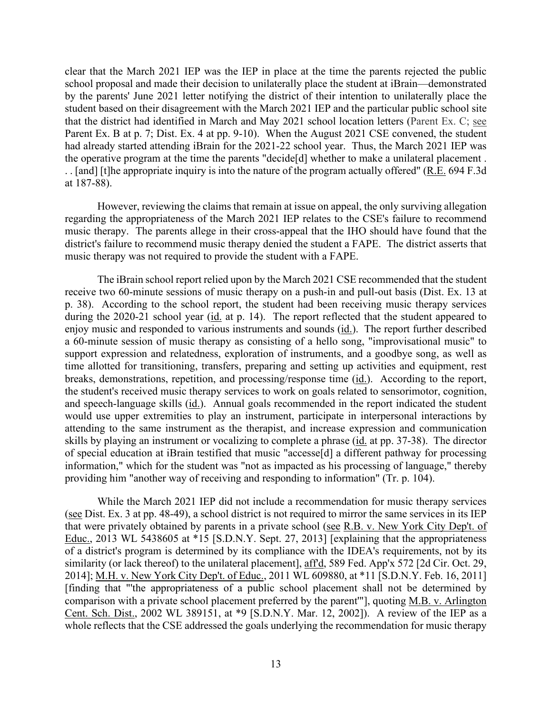clear that the March 2021 IEP was the IEP in place at the time the parents rejected the public that the district had identified in March and May 2021 school location letters (Parent Ex. C; see Parent Ex. B at p. 7; Dist. Ex. 4 at pp. 9-10). When the August 2021 CSE convened, the student the operative program at the time the parents "decide[d] whether to make a unilateral placement . . . [and] [t]he appropriate inquiry is into the nature of the program actually offered" (R.E. 694 F.3d) at 187-88). school proposal and made their decision to unilaterally place the student at iBrain—demonstrated by the parents' June 2021 letter notifying the district of their intention to unilaterally place the student based on their disagreement with the March 2021 IEP and the particular public school site had already started attending iBrain for the 2021-22 school year. Thus, the March 2021 IEP was

 music therapy. The parents allege in their cross-appeal that the IHO should have found that the However, reviewing the claims that remain at issue on appeal, the only surviving allegation regarding the appropriateness of the March 2021 IEP relates to the CSE's failure to recommend district's failure to recommend music therapy denied the student a FAPE. The district asserts that music therapy was not required to provide the student with a FAPE.

 p. 38). According to the school report, the student had been receiving music therapy services breaks, demonstrations, repetition, and processing/response time (*id.*). According to the report, and speech-language skills (id.). Annual goals recommended in the report indicated the student skills by playing an instrument or vocalizing to complete a phrase (*id.* at pp. 37-38). The director The iBrain school report relied upon by the March 2021 CSE recommended that the student receive two 60-minute sessions of music therapy on a push-in and pull-out basis (Dist. Ex. 13 at during the 2020-21 school year (id. at p. 14). The report reflected that the student appeared to enjoy music and responded to various instruments and sounds (id.). The report further described a 60-minute session of music therapy as consisting of a hello song, "improvisational music" to support expression and relatedness, exploration of instruments, and a goodbye song, as well as time allotted for transitioning, transfers, preparing and setting up activities and equipment, rest the student's received music therapy services to work on goals related to sensorimotor, cognition, would use upper extremities to play an instrument, participate in interpersonal interactions by attending to the same instrument as the therapist, and increase expression and communication of special education at iBrain testified that music "accesse[d] a different pathway for processing information," which for the student was "not as impacted as his processing of language," thereby providing him "another way of receiving and responding to information" (Tr. p. 104).

that were privately obtained by parents in a private school (see R.B. v. New York City Dep't. of While the March 2021 IEP did not include a recommendation for music therapy services (see Dist. Ex. 3 at pp. 48-49), a school district is not required to mirror the same services in its IEP Educ., 2013 WL 5438605 at \*15 [S.D.N.Y. Sept. 27, 2013] [explaining that the appropriateness of a district's program is determined by its compliance with the IDEA's requirements, not by its similarity (or lack thereof) to the unilateral placement], aff'd, 589 Fed. App'x 572 [2d Cir. Oct. 29, 2014]; M.H. v. New York City Dep't. of Educ., 2011 WL 609880, at \*11 [S.D.N.Y. Feb. 16, 2011] [finding that "'the appropriateness of a public school placement shall not be determined by comparison with a private school placement preferred by the parent'"], quoting M.B. v. Arlington Cent. Sch. Dist., 2002 WL 389151, at \*9 [S.D.N.Y. Mar. 12, 2002]). A review of the IEP as a whole reflects that the CSE addressed the goals underlying the recommendation for music therapy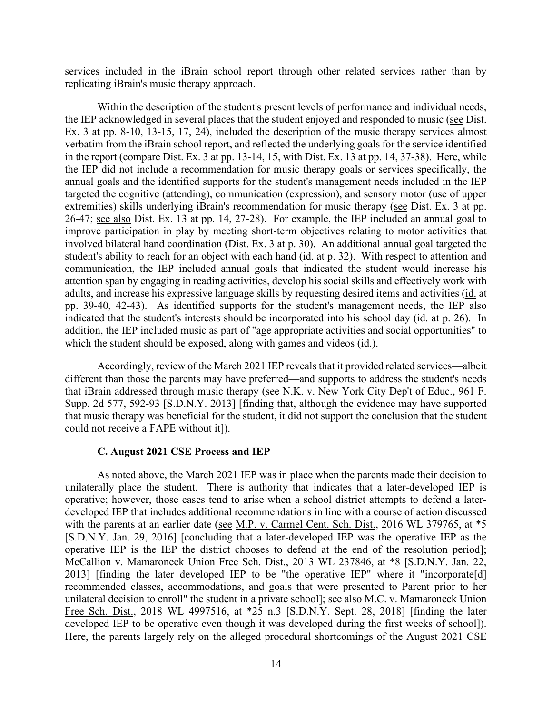services included in the iBrain school report through other related services rather than by replicating iBrain's music therapy approach.

the IEP acknowledged in several places that the student enjoyed and responded to music (see Dist. extremities) skills underlying iBrain's recommendation for music therapy (see Dist. Ex. 3 at pp. 26-47; see also Dist. Ex. 13 at pp. 14, 27-28). For example, the IEP included an annual goal to improve participation in play by meeting short-term objectives relating to motor activities that involved bilateral hand coordination (Dist. Ex. 3 at p. 30). An additional annual goal targeted the student's ability to reach for an object with each hand (id. at p. 32). With respect to attention and pp. 39-40, 42-43). As identified supports for the student's management needs, the IEP also which the student should be exposed, along with games and videos (id.). Within the description of the student's present levels of performance and individual needs, Ex. 3 at pp. 8-10, 13-15, 17, 24), included the description of the music therapy services almost verbatim from the iBrain school report, and reflected the underlying goals for the service identified in the report (compare Dist. Ex. 3 at pp. 13-14, 15, with Dist. Ex. 13 at pp. 14, 37-38). Here, while the IEP did not include a recommendation for music therapy goals or services specifically, the annual goals and the identified supports for the student's management needs included in the IEP targeted the cognitive (attending), communication (expression), and sensory motor (use of upper communication, the IEP included annual goals that indicated the student would increase his attention span by engaging in reading activities, develop his social skills and effectively work with adults, and increase his expressive language skills by requesting desired items and activities (id. at indicated that the student's interests should be incorporated into his school day (id. at p. 26). In addition, the IEP included music as part of "age appropriate activities and social opportunities" to

that iBrain addressed through music therapy (see N.K. v. New York City Dep't of Educ., 961 F. Supp. 2d 577, 592-93 [S.D.N.Y. 2013] [finding that, although the evidence may have supported Accordingly, review of the March 2021 IEP reveals that it provided related services—albeit different than those the parents may have preferred—and supports to address the student's needs that music therapy was beneficial for the student, it did not support the conclusion that the student could not receive a FAPE without it]).

#### **C. August 2021 CSE Process and IEP**

 unilaterally place the student. There is authority that indicates that a later-developed IEP is developed IEP to be operative even though it was developed during the first weeks of school]). As noted above, the March 2021 IEP was in place when the parents made their decision to operative; however, those cases tend to arise when a school district attempts to defend a laterdeveloped IEP that includes additional recommendations in line with a course of action discussed with the parents at an earlier date (see M.P. v. Carmel Cent. Sch. Dist., 2016 WL 379765, at  $*5$ [S.D.N.Y. Jan. 29, 2016] [concluding that a later-developed IEP was the operative IEP as the operative IEP is the IEP the district chooses to defend at the end of the resolution period]; McCallion v. Mamaroneck Union Free Sch. Dist., 2013 WL 237846, at \*8 [S.D.N.Y. Jan. 22, 2013] [finding the later developed IEP to be "the operative IEP" where it "incorporate[d] recommended classes, accommodations, and goals that were presented to Parent prior to her unilateral decision to enroll" the student in a private school]; see also M.C. v. Mamaroneck Union Free Sch. Dist., 2018 WL 4997516, at \*25 n.3 [S.D.N.Y. Sept. 28, 2018] [finding the later Here, the parents largely rely on the alleged procedural shortcomings of the August 2021 CSE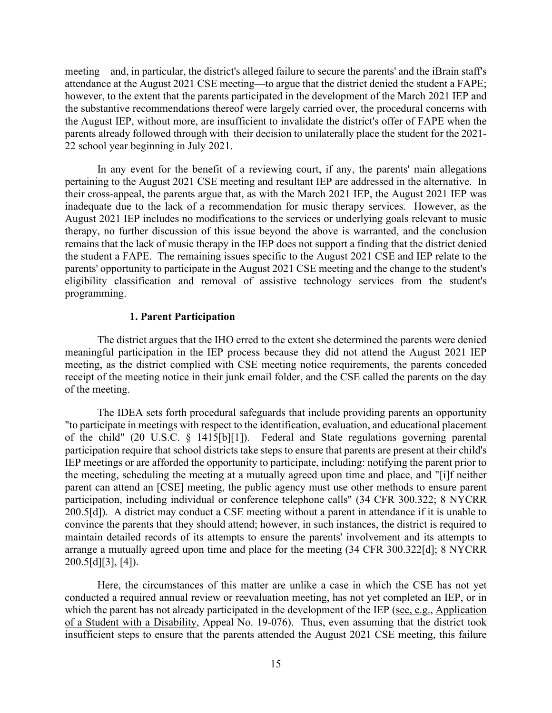meeting—and, in particular, the district's alleged failure to secure the parents' and the iBrain staff's attendance at the August 2021 CSE meeting—to argue that the district denied the student a FAPE; however, to the extent that the parents participated in the development of the March 2021 IEP and the substantive recommendations thereof were largely carried over, the procedural concerns with the August IEP, without more, are insufficient to invalidate the district's offer of FAPE when the parents already followed through with their decision to unilaterally place the student for the 2021- 22 school year beginning in July 2021.

 remains that the lack of music therapy in the IEP does not support a finding that the district denied the student a FAPE. The remaining issues specific to the August 2021 CSE and IEP relate to the In any event for the benefit of a reviewing court, if any, the parents' main allegations pertaining to the August 2021 CSE meeting and resultant IEP are addressed in the alternative. In their cross-appeal, the parents argue that, as with the March 2021 IEP, the August 2021 IEP was inadequate due to the lack of a recommendation for music therapy services. However, as the August 2021 IEP includes no modifications to the services or underlying goals relevant to music therapy, no further discussion of this issue beyond the above is warranted, and the conclusion parents' opportunity to participate in the August 2021 CSE meeting and the change to the student's eligibility classification and removal of assistive technology services from the student's programming.

# **1. Parent Participation**

The district argues that the IHO erred to the extent she determined the parents were denied meaningful participation in the IEP process because they did not attend the August 2021 IEP meeting, as the district complied with CSE meeting notice requirements, the parents conceded receipt of the meeting notice in their junk email folder, and the CSE called the parents on the day of the meeting.

 The IDEA sets forth procedural safeguards that include providing parents an opportunity of the child" (20 U.S.C. § 1415[b][1]). Federal and State regulations governing parental maintain detailed records of its attempts to ensure the parents' involvement and its attempts to "to participate in meetings with respect to the identification, evaluation, and educational placement participation require that school districts take steps to ensure that parents are present at their child's IEP meetings or are afforded the opportunity to participate, including: notifying the parent prior to the meeting, scheduling the meeting at a mutually agreed upon time and place, and "[i]f neither parent can attend an [CSE] meeting, the public agency must use other methods to ensure parent participation, including individual or conference telephone calls" (34 CFR 300.322; 8 NYCRR 200.5[d]). A district may conduct a CSE meeting without a parent in attendance if it is unable to convince the parents that they should attend; however, in such instances, the district is required to arrange a mutually agreed upon time and place for the meeting (34 CFR 300.322[d]; 8 NYCRR  $200.5[d][3]$ , [4]).

Here, the circumstances of this matter are unlike a case in which the CSE has not yet conducted a required annual review or reevaluation meeting, has not yet completed an IEP, or in which the parent has not already participated in the development of the IEP (see, e.g., Application of a Student with a Disability, Appeal No. 19-076). Thus, even assuming that the district took insufficient steps to ensure that the parents attended the August 2021 CSE meeting, this failure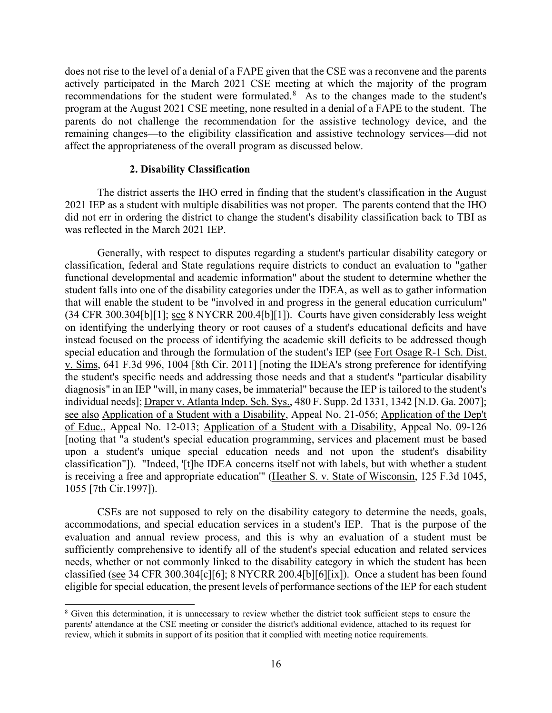recommendations for the student were formulated. $8$  As to the changes made to the student's does not rise to the level of a denial of a FAPE given that the CSE was a reconvene and the parents actively participated in the March 2021 CSE meeting at which the majority of the program program at the August 2021 CSE meeting, none resulted in a denial of a FAPE to the student. The parents do not challenge the recommendation for the assistive technology device, and the remaining changes—to the eligibility classification and assistive technology services—did not affect the appropriateness of the overall program as discussed below.

#### **2. Disability Classification**

 2021 IEP as a student with multiple disabilities was not proper. The parents contend that the IHO The district asserts the IHO erred in finding that the student's classification in the August did not err in ordering the district to change the student's disability classification back to TBI as was reflected in the March 2021 IEP.

 classification"]). "Indeed, '[t]he IDEA concerns itself not with labels, but with whether a student Generally, with respect to disputes regarding a student's particular disability category or classification, federal and State regulations require districts to conduct an evaluation to "gather functional developmental and academic information" about the student to determine whether the student falls into one of the disability categories under the IDEA, as well as to gather information that will enable the student to be "involved in and progress in the general education curriculum" (34 CFR 300.304[b][1]; see 8 NYCRR 200.4[b][1]). Courts have given considerably less weight on identifying the underlying theory or root causes of a student's educational deficits and have instead focused on the process of identifying the academic skill deficits to be addressed though special education and through the formulation of the student's IEP (see Fort Osage R-1 Sch. Dist. v. Sims, 641 F.3d 996, 1004 [8th Cir. 2011] [noting the IDEA's strong preference for identifying the student's specific needs and addressing those needs and that a student's "particular disability diagnosis" in an IEP "will, in many cases, be immaterial" because the IEP is tailored to the student's individual needs]; Draper v. Atlanta Indep. Sch. Sys., 480 F. Supp. 2d 1331, 1342 [N.D. Ga. 2007]; see also Application of a Student with a Disability, Appeal No. 21-056; Application of the Dep't of Educ., Appeal No. 12-013; Application of a Student with a Disability, Appeal No. 09-126 [noting that "a student's special education programming, services and placement must be based upon a student's unique special education needs and not upon the student's disability is receiving a free and appropriate education'" (Heather S. v. State of Wisconsin, 125 F.3d 1045, 1055 [7th Cir.1997]).

classified (see 34 CFR 300.304[c][6]; 8 NYCRR 200.4[b][6][ix]). Once a student has been found CSEs are not supposed to rely on the disability category to determine the needs, goals, accommodations, and special education services in a student's IEP. That is the purpose of the evaluation and annual review process, and this is why an evaluation of a student must be sufficiently comprehensive to identify all of the student's special education and related services needs, whether or not commonly linked to the disability category in which the student has been eligible for special education, the present levels of performance sections of the IEP for each student

<span id="page-15-0"></span><sup>&</sup>lt;sup>8</sup> Given this determination, it is unnecessary to review whether the district took sufficient steps to ensure the parents' attendance at the CSE meeting or consider the district's additional evidence, attached to its request for review, which it submits in support of its position that it complied with meeting notice requirements.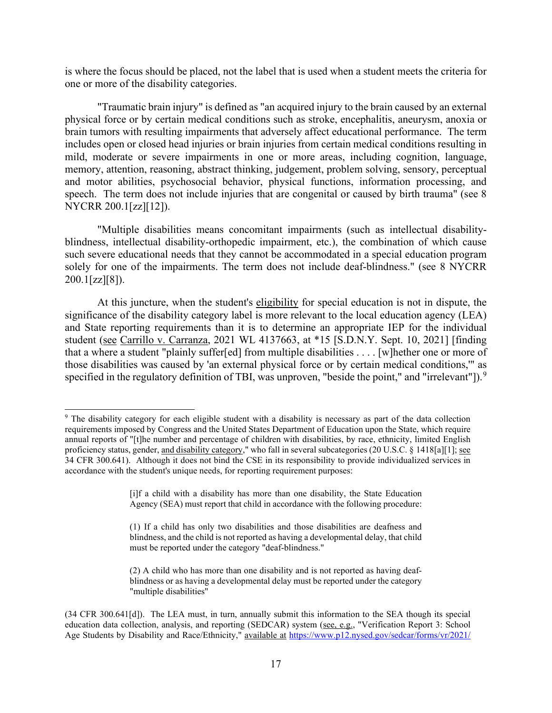is where the focus should be placed, not the label that is used when a student meets the criteria for one or more of the disability categories.

"Traumatic brain injury" is defined as "an acquired injury to the brain caused by an external physical force or by certain medical conditions such as stroke, encephalitis, aneurysm, anoxia or brain tumors with resulting impairments that adversely affect educational performance. The term includes open or closed head injuries or brain injuries from certain medical conditions resulting in mild, moderate or severe impairments in one or more areas, including cognition, language, memory, attention, reasoning, abstract thinking, judgement, problem solving, sensory, perceptual and motor abilities, psychosocial behavior, physical functions, information processing, and speech. The term does not include injuries that are congenital or caused by birth trauma" (see 8) NYCRR 200.1[zz][12]).

"Multiple disabilities means concomitant impairments (such as intellectual disabilityblindness, intellectual disability-orthopedic impairment, etc.), the combination of which cause such severe educational needs that they cannot be accommodated in a special education program solely for one of the impairments. The term does not include deaf-blindness." (see 8 NYCRR  $200.1$ [zz][8]).

student (see Carrillo v. Carranza, 2021 WL 4137663, at \*15 [S.D.N.Y. Sept. 10, 2021] [finding that a where a student "plainly suffer[ed] from multiple disabilities . . . . [w]hether one or more of At this juncture, when the student's eligibility for special education is not in dispute, the significance of the disability category label is more relevant to the local education agency (LEA) and State reporting requirements than it is to determine an appropriate IEP for the individual those disabilities was caused by 'an external physical force or by certain medical conditions,'" as specified in the regulatory definition of TBI, was unproven, "beside the point," and "irrelevant"]).<sup>9</sup>

<span id="page-16-0"></span> annual reports of "[t]he number and percentage of children with disabilities, by race, ethnicity, limited English 34 CFR 300.641). Although it does not bind the CSE in its responsibility to provide individualized services in <sup>9</sup> The disability category for each eligible student with a disability is necessary as part of the data collection requirements imposed by Congress and the United States Department of Education upon the State, which require proficiency status, gender, and disability category," who fall in several subcategories (20 U.S.C. § 1418[a][1]; see accordance with the student's unique needs, for reporting requirement purposes:

 [i]f a child with a disability has more than one disability, the State Education Agency (SEA) must report that child in accordance with the following procedure:

<sup>(1)</sup> If a child has only two disabilities and those disabilities are deafness and blindness, and the child is not reported as having a developmental delay, that child must be reported under the category "deaf-blindness."

<sup>(2)</sup> A child who has more than one disability and is not reported as having deafblindness or as having a developmental delay must be reported under the category "multiple disabilities"

education data collection, analysis, and reporting (SEDCAR) system (see, e.g., "Verification Report 3: School (34 CFR 300.641[d]). The LEA must, in turn, annually submit this information to the SEA though its special Age Students by Disability and Race/Ethnicity," available at [https://www.p12.nysed.gov/sedcar/forms/vr/2021/](https://www.p12.nysed.gov/sedcar/forms/vr/2021/%20pdf/vr3.pdf)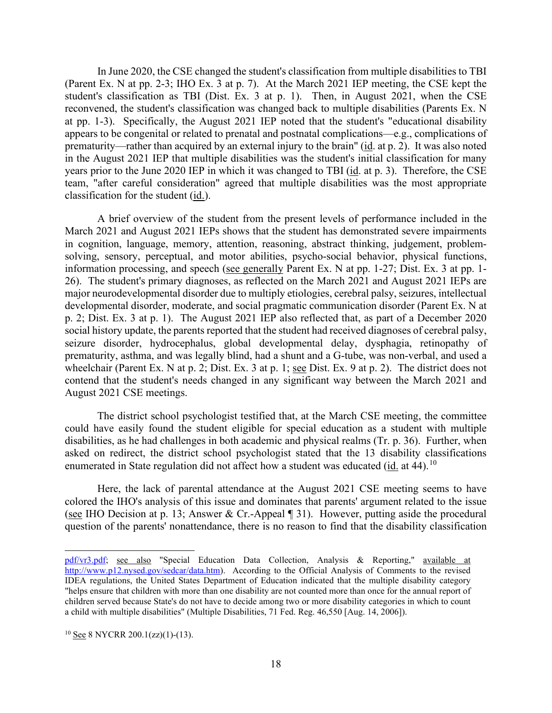(Parent Ex. N at pp. 2-3; IHO Ex. 3 at p. 7). At the March 2021 IEP meeting, the CSE kept the student's classification as TBI (Dist. Ex. 3 at p. 1). Then, in August 2021, when the CSE reconvened, the student's classification was changed back to multiple disabilities (Parents Ex. N classification for the student  $(id.)$ . In June 2020, the CSE changed the student's classification from multiple disabilities to TBI at pp. 1-3). Specifically, the August 2021 IEP noted that the student's "educational disability appears to be congenital or related to prenatal and postnatal complications—e.g., complications of prematurity—rather than acquired by an external injury to the brain" (id. at p. 2). It was also noted in the August 2021 IEP that multiple disabilities was the student's initial classification for many years prior to the June 2020 IEP in which it was changed to TBI (id. at p. 3). Therefore, the CSE team, "after careful consideration" agreed that multiple disabilities was the most appropriate

 March 2021 and August 2021 IEPs shows that the student has demonstrated severe impairments 26). The student's primary diagnoses, as reflected on the March 2021 and August 2021 IEPs are developmental disorder, moderate, and social pragmatic communication disorder (Parent Ex. N at p. 2; Dist. Ex. 3 at p. 1). The August 2021 IEP also reflected that, as part of a December 2020 social history update, the parents reported that the student had received diagnoses of cerebral palsy, wheelchair (Parent Ex. N at p. 2; Dist. Ex. 3 at p. 1; see Dist. Ex. 9 at p. 2). The district does not A brief overview of the student from the present levels of performance included in the in cognition, language, memory, attention, reasoning, abstract thinking, judgement, problemsolving, sensory, perceptual, and motor abilities, psycho-social behavior, physical functions, information processing, and speech (see generally Parent Ex. N at pp. 1-27; Dist. Ex. 3 at pp. 1 major neurodevelopmental disorder due to multiply etiologies, cerebral palsy, seizures, intellectual seizure disorder, hydrocephalus, global developmental delay, dysphagia, retinopathy of prematurity, asthma, and was legally blind, had a shunt and a G-tube, was non-verbal, and used a contend that the student's needs changed in any significant way between the March 2021 and August 2021 CSE meetings.

 could have easily found the student eligible for special education as a student with multiple enumerated in State regulation did not affect how a student was educated  $(id.$  at 44).<sup>10</sup> The district school psychologist testified that, at the March CSE meeting, the committee disabilities, as he had challenges in both academic and physical realms (Tr. p. 36). Further, when asked on redirect, the district school psychologist stated that the 13 disability classifications

(see IHO Decision at p. 13; Answer & Cr.-Appeal  $\P$  31). However, putting aside the procedural Here, the lack of parental attendance at the August 2021 CSE meeting seems to have colored the IHO's analysis of this issue and dominates that parents' argument related to the issue question of the parents' nonattendance, there is no reason to find that the disability classification

 a child with multiple disabilities" (Multiple Disabilities, 71 Fed. Reg. 46,550 [Aug. 14, 2006]). [pdf/vr3.pdf;](https://www.p12.nysed.gov/sedcar/forms/vr/2021/%20pdf/vr3.pdf) see also "Special Education Data Collection, Analysis & Reporting," available at [http://www.p12.nysed.gov/sedcar/data.htm\)](http://www.p12.nysed.gov/sedcar/data.htm). According to the Official Analysis of Comments to the revised IDEA regulations, the United States Department of Education indicated that the multiple disability category "helps ensure that children with more than one disability are not counted more than once for the annual report of children served because State's do not have to decide among two or more disability categories in which to count

<span id="page-17-0"></span> $10$  See 8 NYCRR 200.1(zz)(1)-(13).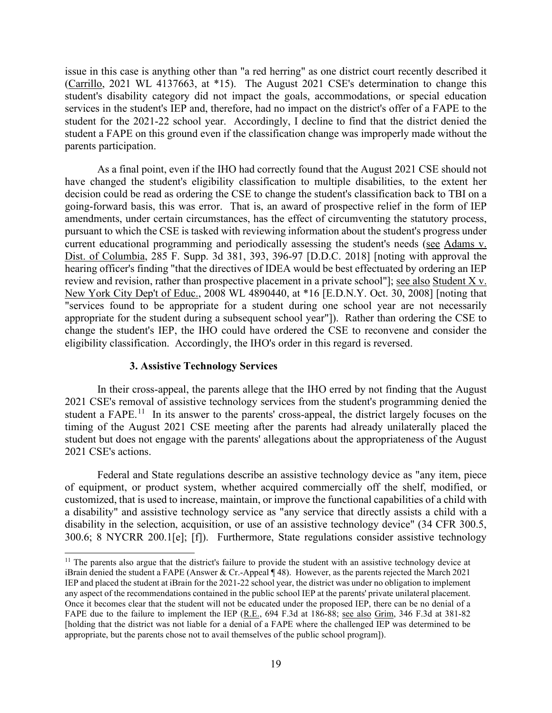services in the student's IEP and, therefore, had no impact on the district's offer of a FAPE to the student for the 2021-22 school year. Accordingly, I decline to find that the district denied the issue in this case is anything other than "a red herring" as one district court recently described it (Carrillo, 2021 WL 4137663, at \*15). The August 2021 CSE's determination to change this student's disability category did not impact the goals, accommodations, or special education student a FAPE on this ground even if the classification change was improperly made without the parents participation.

 As a final point, even if the IHO had correctly found that the August 2021 CSE should not decision could be read as ordering the CSE to change the student's classification back to TBI on a going-forward basis, this was error. That is, an award of prospective relief in the form of IEP appropriate for the student during a subsequent school year"]). Rather than ordering the CSE to change the student's IEP, the IHO could have ordered the CSE to reconvene and consider the have changed the student's eligibility classification to multiple disabilities, to the extent her amendments, under certain circumstances, has the effect of circumventing the statutory process, pursuant to which the CSE is tasked with reviewing information about the student's progress under current educational programming and periodically assessing the student's needs (see Adams v. Dist. of Columbia, 285 F. Supp. 3d 381, 393, 396-97 [D.D.C. 2018] [noting with approval the hearing officer's finding "that the directives of IDEA would be best effectuated by ordering an IEP review and revision, rather than prospective placement in a private school"]; see also Student X v. New York City Dep't of Educ., 2008 WL 4890440, at \*16 [E.D.N.Y. Oct. 30, 2008] [noting that "services found to be appropriate for a student during one school year are not necessarily eligibility classification. Accordingly, the IHO's order in this regard is reversed.

# **3. Assistive Technology Services**

student a FAPE.<sup>[11](#page-18-0)</sup> In its answer to the parents' cross-appeal, the district largely focuses on the student but does not engage with the parents' allegations about the appropriateness of the August In their cross-appeal, the parents allege that the IHO erred by not finding that the August 2021 CSE's removal of assistive technology services from the student's programming denied the timing of the August 2021 CSE meeting after the parents had already unilaterally placed the 2021 CSE's actions.

 300.6; 8 NYCRR 200.1[e]; [f]). Furthermore, State regulations consider assistive technology Federal and State regulations describe an assistive technology device as "any item, piece of equipment, or product system, whether acquired commercially off the shelf, modified, or customized, that is used to increase, maintain, or improve the functional capabilities of a child with a disability" and assistive technology service as "any service that directly assists a child with a disability in the selection, acquisition, or use of an assistive technology device" (34 CFR 300.5,

<span id="page-18-0"></span><sup>&</sup>lt;sup>11</sup> The parents also argue that the district's failure to provide the student with an assistive technology device at any aspect of the recommendations contained in the public school IEP at the parents' private unilateral placement. iBrain denied the student a FAPE (Answer & Cr.-Appeal ¶ 48). However, as the parents rejected the March 2021 IEP and placed the student at iBrain for the 2021-22 school year, the district was under no obligation to implement Once it becomes clear that the student will not be educated under the proposed IEP, there can be no denial of a FAPE due to the failure to implement the IEP (R.E., 694 F.3d at 186-88; see also Grim, 346 F.3d at 381-82 [holding that the district was not liable for a denial of a FAPE where the challenged IEP was determined to be appropriate, but the parents chose not to avail themselves of the public school program]).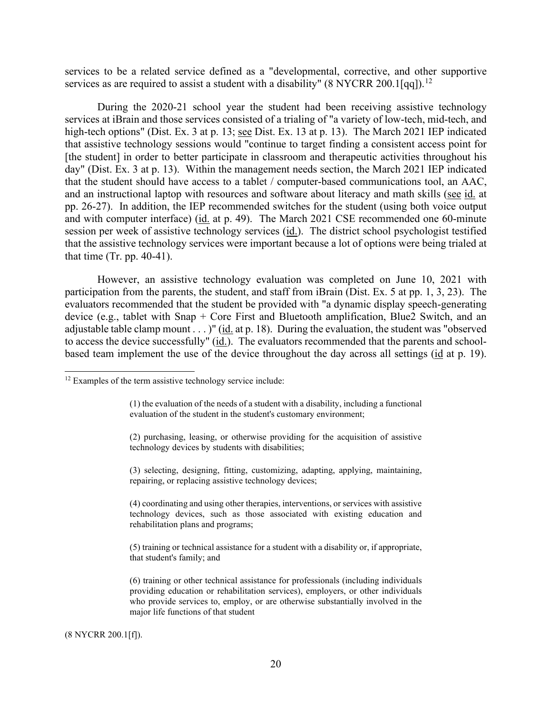services as are required to assist a student with a disability" (8 NYCRR 200.1[qq]).<sup>12</sup> services to be a related service defined as a "developmental, corrective, and other supportive

high-tech options" (Dist. Ex. 3 at p. 13; see Dist. Ex. 13 at p. 13). The March 2021 IEP indicated and an instructional laptop with resources and software about literacy and math skills (see id. at pp. 26-27). In addition, the IEP recommended switches for the student (using both voice output and with computer interface) (id. at p. 49). The March 2021 CSE recommended one 60-minute session per week of assistive technology services (id.). The district school psychologist testified During the 2020-21 school year the student had been receiving assistive technology services at iBrain and those services consisted of a trialing of "a variety of low-tech, mid-tech, and that assistive technology sessions would "continue to target finding a consistent access point for [the student] in order to better participate in classroom and therapeutic activities throughout his day" (Dist. Ex. 3 at p. 13). Within the management needs section, the March 2021 IEP indicated that the student should have access to a tablet / computer-based communications tool, an AAC, that the assistive technology services were important because a lot of options were being trialed at that time  $(Tr. pp. 40-41)$ .

 However, an assistive technology evaluation was completed on June 10, 2021 with participation from the parents, the student, and staff from iBrain (Dist. Ex. 5 at pp. 1, 3, 23). The adjustable table clamp mount  $\ldots$ )" (id. at p. 18). During the evaluation, the student was "observed to access the device successfully" (id.). The evaluators recommended that the parents and schoolbased team implement the use of the device throughout the day across all settings (id at p. 19). evaluators recommended that the student be provided with "a dynamic display speech-generating device (e.g., tablet with Snap + Core First and Bluetooth amplification, Blue2 Switch, and an

(8 NYCRR 200.1[f]).

<span id="page-19-0"></span><sup>&</sup>lt;sup>12</sup> Examples of the term assistive technology service include:

<sup>(1)</sup> the evaluation of the needs of a student with a disability, including a functional evaluation of the student in the student's customary environment;

<sup>(2)</sup> purchasing, leasing, or otherwise providing for the acquisition of assistive technology devices by students with disabilities;

<sup>(3)</sup> selecting, designing, fitting, customizing, adapting, applying, maintaining, repairing, or replacing assistive technology devices;

 technology devices, such as those associated with existing education and (4) coordinating and using other therapies, interventions, or services with assistive rehabilitation plans and programs;

<sup>(5)</sup> training or technical assistance for a student with a disability or, if appropriate, that student's family; and

<sup>(6)</sup> training or other technical assistance for professionals (including individuals providing education or rehabilitation services), employers, or other individuals who provide services to, employ, or are otherwise substantially involved in the major life functions of that student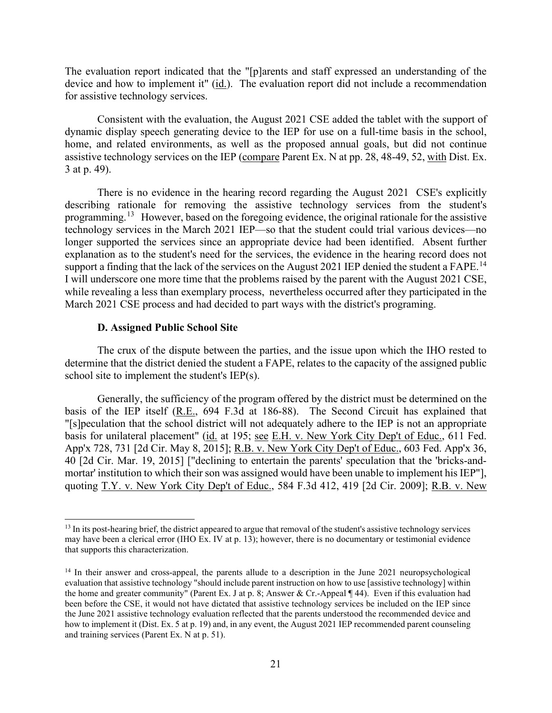device and how to implement it" (id.). The evaluation report did not include a recommendation The evaluation report indicated that the "[p]arents and staff expressed an understanding of the for assistive technology services.

Consistent with the evaluation, the August 2021 CSE added the tablet with the support of dynamic display speech generating device to the IEP for use on a full-time basis in the school, home, and related environments, as well as the proposed annual goals, but did not continue assistive technology services on the IEP (compare Parent Ex. N at pp. 28, 48-49, 52, with Dist. Ex. 3 at p. 49).

 There is no evidence in the hearing record regarding the August 2021 CSE's explicitly programming.<sup>[13](#page-20-0)</sup> However, based on the foregoing evidence, the original rationale for the assistive support a finding that the lack of the services on the August 2021 IEP denied the student a FAPE.<sup>[14](#page-20-1)</sup> I will underscore one more time that the problems raised by the parent with the August 2021 CSE, while revealing a less than exemplary process, nevertheless occurred after they participated in the describing rationale for removing the assistive technology services from the student's technology services in the March 2021 IEP—so that the student could trial various devices—no longer supported the services since an appropriate device had been identified. Absent further explanation as to the student's need for the services, the evidence in the hearing record does not March 2021 CSE process and had decided to part ways with the district's programing.

# **D. Assigned Public School Site**

The crux of the dispute between the parties, and the issue upon which the IHO rested to determine that the district denied the student a FAPE, relates to the capacity of the assigned public school site to implement the student's IEP(s).

Generally, the sufficiency of the program offered by the district must be determined on the basis of the IEP itself (R.E., 694 F.3d at 186-88). The Second Circuit has explained that "[s]peculation that the school district will not adequately adhere to the IEP is not an appropriate basis for unilateral placement" (id. at 195; see E.H. v. New York City Dep't of Educ., 611 Fed. App'x 728, 731 [2d Cir. May 8, 2015]; R.B. v. New York City Dep't of Educ., 603 Fed. App'x 36, 40 [2d Cir. Mar. 19, 2015] ["declining to entertain the parents' speculation that the 'bricks-andmortar' institution to which their son was assigned would have been unable to implement his IEP"], quoting T.Y. v. New York City Dep't of Educ., 584 F.3d 412, 419 [2d Cir. 2009]; R.B. v. New

<span id="page-20-0"></span> $<sup>13</sup>$  In its post-hearing brief, the district appeared to argue that removal of the student's assistive technology services</sup> may have been a clerical error (IHO Ex. IV at p. 13); however, there is no documentary or testimonial evidence that supports this characterization.

<span id="page-20-1"></span><sup>&</sup>lt;sup>14</sup> In their answer and cross-appeal, the parents allude to a description in the June 2021 neuropsychological how to implement it (Dist. Ex. 5 at p. 19) and, in any event, the August 2021 IEP recommended parent counseling evaluation that assistive technology "should include parent instruction on how to use [assistive technology] within the home and greater community" (Parent Ex. J at p. 8; Answer & Cr.-Appeal ¶ 44). Even if this evaluation had been before the CSE, it would not have dictated that assistive technology services be included on the IEP since the June 2021 assistive technology evaluation reflected that the parents understood the recommended device and and training services (Parent Ex. N at p. 51).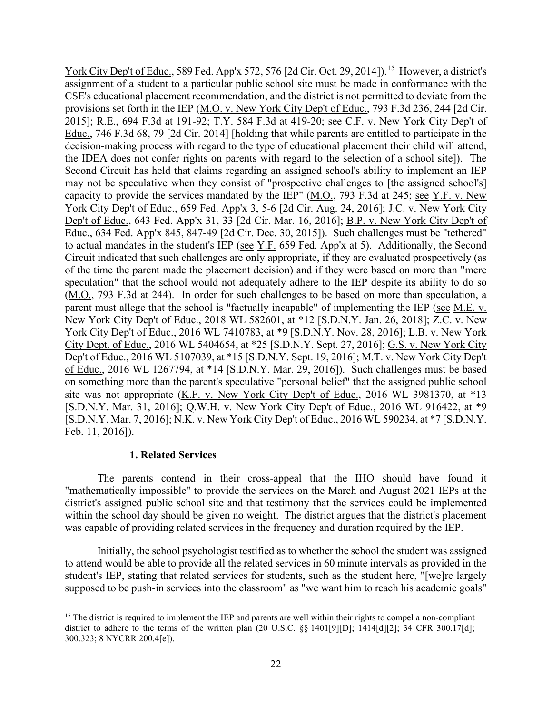York City Dep't of Educ., 589 Fed. App'x 572, 576 [2d Cir. Oct. 29, 2014]).<sup>[15](#page-21-0)</sup> However, a district's 2015]; <u>R.E.,</u> 694 F.3d at 191-92; <u>T.Y.</u> 584 F.3d at 419-20; <u>see C.F. v. New York City Dep't of</u> capacity to provide the services mandated by the IEP"  $(M.O., 793 F.3d$  at 245; see Y.F. v. New to actual mandates in the student's IEP ( $\frac{\text{see Y.F.}}{59}$  Fed. App'x at 5). Additionally, the Second (M.O., 793 F.3d at 244). In order for such challenges to be based on more than speculation, a parent must allege that the school is "factually incapable" of implementing the IEP (see M.E. v. New York City Dep't of Educ., 2018 WL 582601, at \*12 [S.D.N.Y. Jan. 26, 2018]; <u>Z.C. v. New</u> York City Dep't of Educ., 2016 WL 7410783, at \*9 [S.D.N.Y. Nov. 28, 2016]; L.B. v. New York assignment of a student to a particular public school site must be made in conformance with the CSE's educational placement recommendation, and the district is not permitted to deviate from the provisions set forth in the IEP (M.O. v. New York City Dep't of Educ., 793 F.3d 236, 244 [2d Cir. Educ., 746 F.3d 68, 79 [2d Cir. 2014] [holding that while parents are entitled to participate in the decision-making process with regard to the type of educational placement their child will attend, the IDEA does not confer rights on parents with regard to the selection of a school site]). The Second Circuit has held that claims regarding an assigned school's ability to implement an IEP may not be speculative when they consist of "prospective challenges to [the assigned school's] York City Dep't of Educ., 659 Fed. App'x 3, 5-6 [2d Cir. Aug. 24, 2016]; J.C. v. New York City Dep't of Educ., 643 Fed. App'x 31, 33 [2d Cir. Mar. 16, 2016]; B.P. v. New York City Dep't of Educ., 634 Fed. App'x 845, 847-49 [2d Cir. Dec. 30, 2015]). Such challenges must be "tethered" Circuit indicated that such challenges are only appropriate, if they are evaluated prospectively (as of the time the parent made the placement decision) and if they were based on more than "mere speculation" that the school would not adequately adhere to the IEP despite its ability to do so City Dept. of Educ., 2016 WL 5404654, at \*25 [S.D.N.Y. Sept. 27, 2016]; G.S. v. New York City Dep't of Educ., 2016 WL 5107039, at \*15 [S.D.N.Y. Sept. 19, 2016]; M.T. v. New York City Dep't of Educ., 2016 WL 1267794, at \*14 [S.D.N.Y. Mar. 29, 2016]). Such challenges must be based on something more than the parent's speculative "personal belief" that the assigned public school site was not appropriate (K.F. v. New York City Dep't of Educ., 2016 WL 3981370, at \*13 [S.D.N.Y. Mar. 31, 2016]; Q.W.H. v. New York City Dep't of Educ., 2016 WL 916422, at \*9 [S.D.N.Y. Mar. 7, 2016]; N.K. v. New York City Dep't of Educ., 2016 WL 590234, at \*7 [S.D.N.Y. Feb. 11, 2016]).

# **1. Related Services**

 within the school day should be given no weight. The district argues that the district's placement The parents contend in their cross-appeal that the IHO should have found it "mathematically impossible" to provide the services on the March and August 2021 IEPs at the district's assigned public school site and that testimony that the services could be implemented was capable of providing related services in the frequency and duration required by the IEP.

Initially, the school psychologist testified as to whether the school the student was assigned to attend would be able to provide all the related services in 60 minute intervals as provided in the student's IEP, stating that related services for students, such as the student here, "[we]re largely supposed to be push-in services into the classroom" as "we want him to reach his academic goals"

<span id="page-21-0"></span><sup>&</sup>lt;sup>15</sup> The district is required to implement the IEP and parents are well within their rights to compel a non-compliant district to adhere to the terms of the written plan (20 U.S.C. §§ 1401[9][D]; 1414[d][2]; 34 CFR 300.17[d]; 300.323; 8 NYCRR 200.4[e]).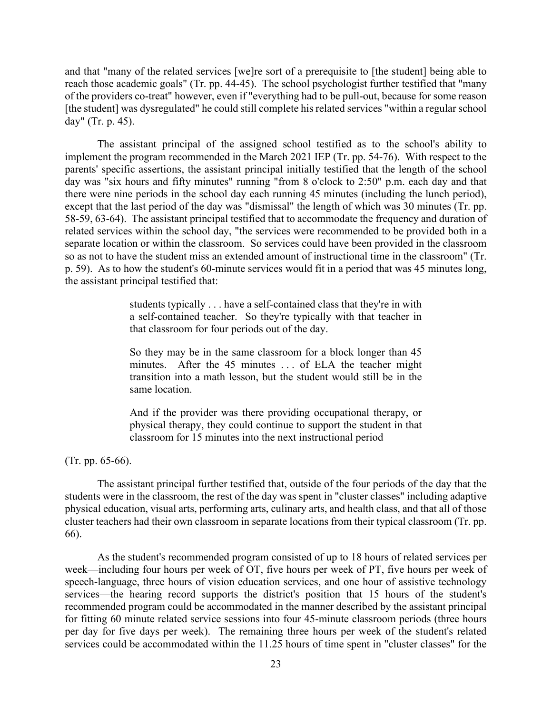reach those academic goals" (Tr. pp. 44-45). The school psychologist further testified that "many day" (Tr. p. 45). and that "many of the related services [we]re sort of a prerequisite to [the student] being able to of the providers co-treat" however, even if "everything had to be pull-out, because for some reason [the student] was dysregulated" he could still complete his related services "within a regular school

 The assistant principal of the assigned school testified as to the school's ability to implement the program recommended in the March 2021 IEP (Tr. pp. 54-76). With respect to the day was "six hours and fifty minutes" running "from 8 o'clock to 2:50" p.m. each day and that there were nine periods in the school day each running 45 minutes (including the lunch period), 58-59, 63-64). The assistant principal testified that to accommodate the frequency and duration of related services within the school day, "the services were recommended to be provided both in a p. 59). As to how the student's 60-minute services would fit in a period that was 45 minutes long, parents' specific assertions, the assistant principal initially testified that the length of the school except that the last period of the day was "dismissal" the length of which was 30 minutes (Tr. pp. separate location or within the classroom. So services could have been provided in the classroom so as not to have the student miss an extended amount of instructional time in the classroom" (Tr. the assistant principal testified that:

> students typically . . . have a self-contained class that they're in with a self-contained teacher. So they're typically with that teacher in that classroom for four periods out of the day.

> minutes. After the 45 minutes . . . of ELA the teacher might transition into a math lesson, but the student would still be in the So they may be in the same classroom for a block longer than 45 same location.

> And if the provider was there providing occupational therapy, or physical therapy, they could continue to support the student in that classroom for 15 minutes into the next instructional period

(Tr. pp. 65-66).

 students were in the classroom, the rest of the day was spent in "cluster classes" including adaptive The assistant principal further testified that, outside of the four periods of the day that the physical education, visual arts, performing arts, culinary arts, and health class, and that all of those cluster teachers had their own classroom in separate locations from their typical classroom (Tr. pp. 66).

 As the student's recommended program consisted of up to 18 hours of related services per week—including four hours per week of OT, five hours per week of PT, five hours per week of services—the hearing record supports the district's position that 15 hours of the student's per day for five days per week). The remaining three hours per week of the student's related speech-language, three hours of vision education services, and one hour of assistive technology recommended program could be accommodated in the manner described by the assistant principal for fitting 60 minute related service sessions into four 45-minute classroom periods (three hours services could be accommodated within the 11.25 hours of time spent in "cluster classes" for the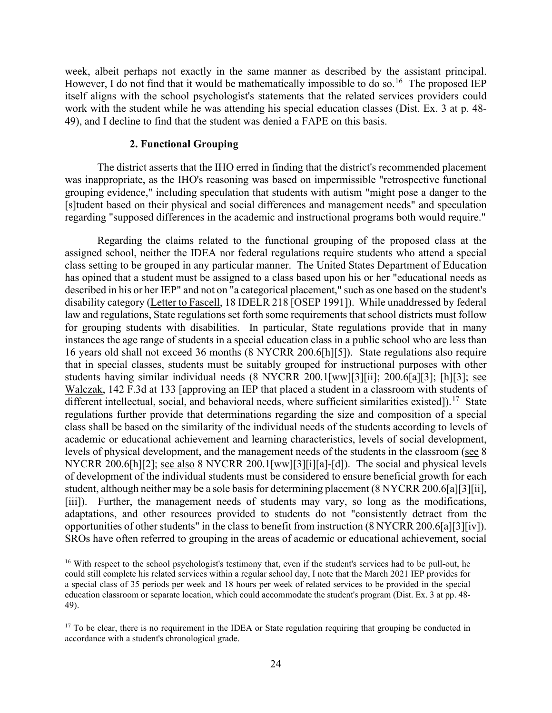week, albeit perhaps not exactly in the same manner as described by the assistant principal. However, I do not find that it would be mathematically impossible to do so.<sup>16</sup> The proposed IEP itself aligns with the school psychologist's statements that the related services providers could work with the student while he was attending his special education classes (Dist. Ex. 3 at p. 48- 49), and I decline to find that the student was denied a FAPE on this basis.

#### **2. Functional Grouping**

 was inappropriate, as the IHO's reasoning was based on impermissible "retrospective functional The district asserts that the IHO erred in finding that the district's recommended placement grouping evidence," including speculation that students with autism "might pose a danger to the [s]tudent based on their physical and social differences and management needs" and speculation regarding "supposed differences in the academic and instructional programs both would require."

different intellectual, social, and behavioral needs, where sufficient similarities existed]).<sup>17</sup> State academic or educational achievement and learning characteristics, levels of social development, NYCRR 200.6[h][2]; <u>see also</u> 8 NYCRR 200.1[ww][3][i][a]-[d]). The social and physical levels Regarding the claims related to the functional grouping of the proposed class at the assigned school, neither the IDEA nor federal regulations require students who attend a special class setting to be grouped in any particular manner. The United States Department of Education has opined that a student must be assigned to a class based upon his or her "educational needs as described in his or her IEP" and not on "a categorical placement," such as one based on the student's disability category (Letter to Fascell, 18 IDELR 218 [OSEP 1991]). While unaddressed by federal law and regulations, State regulations set forth some requirements that school districts must follow for grouping students with disabilities. In particular, State regulations provide that in many instances the age range of students in a special education class in a public school who are less than 16 years old shall not exceed 36 months (8 NYCRR 200.6[h][5]). State regulations also require that in special classes, students must be suitably grouped for instructional purposes with other students having similar individual needs (8 NYCRR 200.1[ww][3][ii]; 200.6[a][3]; [h][3]; see Walczak, 142 F.3d at 133 [approving an IEP that placed a student in a classroom with students of regulations further provide that determinations regarding the size and composition of a special class shall be based on the similarity of the individual needs of the students according to levels of levels of physical development, and the management needs of the students in the classroom (see 8 of development of the individual students must be considered to ensure beneficial growth for each student, although neither may be a sole basis for determining placement (8 NYCRR 200.6[a][3][ii], [iii]). Further, the management needs of students may vary, so long as the modifications, adaptations, and other resources provided to students do not "consistently detract from the opportunities of other students" in the class to benefit from instruction (8 NYCRR 200.6[a][3][iv]). SROs have often referred to grouping in the areas of academic or educational achievement, social

<span id="page-23-0"></span><sup>&</sup>lt;sup>16</sup> With respect to the school psychologist's testimony that, even if the student's services had to be pull-out, he education classroom or separate location, which could accommodate the student's program (Dist. Ex. 3 at pp. 48 could still complete his related services within a regular school day, I note that the March 2021 IEP provides for a special class of 35 periods per week and 18 hours per week of related services to be provided in the special 49).

<span id="page-23-1"></span> $17$  To be clear, there is no requirement in the IDEA or State regulation requiring that grouping be conducted in accordance with a student's chronological grade.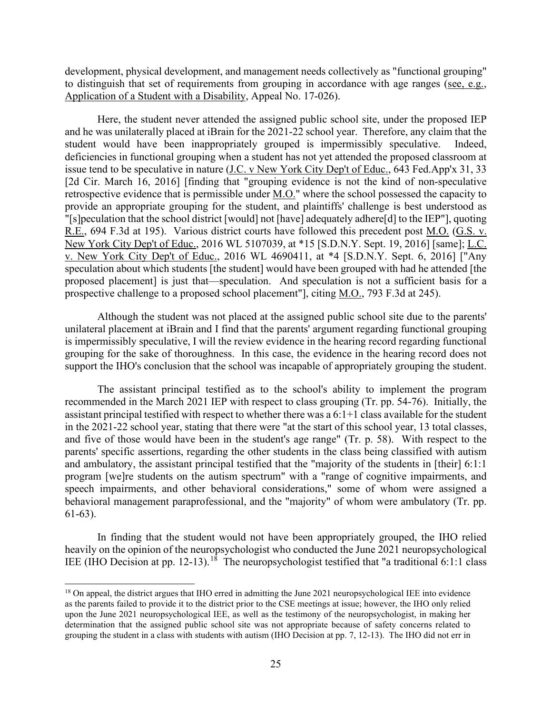development, physical development, and management needs collectively as "functional grouping" to distinguish that set of requirements from grouping in accordance with age ranges (see, e.g., Application of a Student with a Disability, Appeal No. 17-026).

 deficiencies in functional grouping when a student has not yet attended the proposed classroom at R.E., 694 F.3d at 195). Various district courts have followed this precedent post <u>M.O.</u> (G.S. v. Here, the student never attended the assigned public school site, under the proposed IEP and he was unilaterally placed at iBrain for the 2021-22 school year. Therefore, any claim that the student would have been inappropriately grouped is impermissibly speculative. Indeed, issue tend to be speculative in nature (J.C. v New York City Dep't of Educ., 643 Fed.App'x 31, 33 [2d Cir. March 16, 2016] [finding that "grouping evidence is not the kind of non-speculative retrospective evidence that is permissible under M.O." where the school possessed the capacity to provide an appropriate grouping for the student, and plaintiffs' challenge is best understood as "[s]peculation that the school district [would] not [have] adequately adhere[d] to the IEP"], quoting New York City Dep't of Educ., 2016 WL 5107039, at \*15 [S.D.N.Y. Sept. 19, 2016] [same]; L.C. v. New York City Dep't of Educ., 2016 WL 4690411, at \*4 [S.D.N.Y. Sept. 6, 2016] ["Any speculation about which students [the student] would have been grouped with had he attended [the proposed placement] is just that—speculation. And speculation is not a sufficient basis for a prospective challenge to a proposed school placement"], citing M.O., 793 F.3d at 245).

Although the student was not placed at the assigned public school site due to the parents' unilateral placement at iBrain and I find that the parents' argument regarding functional grouping is impermissibly speculative, I will the review evidence in the hearing record regarding functional grouping for the sake of thoroughness. In this case, the evidence in the hearing record does not support the IHO's conclusion that the school was incapable of appropriately grouping the student.

 assistant principal testified with respect to whether there was a 6:1+1 class available for the student and five of those would have been in the student's age range" (Tr. p. 58). With respect to the behavioral management paraprofessional, and the "majority" of whom were ambulatory (Tr. pp. The assistant principal testified as to the school's ability to implement the program recommended in the March 2021 IEP with respect to class grouping (Tr. pp. 54-76). Initially, the in the 2021-22 school year, stating that there were "at the start of this school year, 13 total classes, parents' specific assertions, regarding the other students in the class being classified with autism and ambulatory, the assistant principal testified that the "majority of the students in [their] 6:1:1 program [we]re students on the autism spectrum" with a "range of cognitive impairments, and speech impairments, and other behavioral considerations," some of whom were assigned a 61-63).

 In finding that the student would not have been appropriately grouped, the IHO relied IEE (IHO Decision at pp. 12-13).<sup>[18](#page-24-0)</sup> The neuropsychologist testified that "a traditional 6:1:1 class heavily on the opinion of the neuropsychologist who conducted the June 2021 neuropsychological

<span id="page-24-0"></span> grouping the student in a class with students with autism (IHO Decision at pp. 7, 12-13). The IHO did not err in <sup>18</sup> On appeal, the district argues that IHO erred in admitting the June 2021 neuropsychological IEE into evidence as the parents failed to provide it to the district prior to the CSE meetings at issue; however, the IHO only relied upon the June 2021 neuropsychological IEE, as well as the testimony of the neuropsychologist, in making her determination that the assigned public school site was not appropriate because of safety concerns related to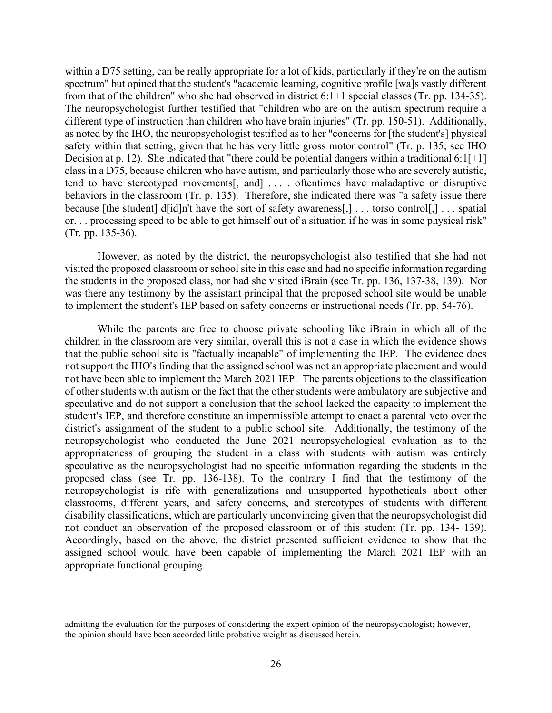spectrum" but opined that the student's "academic learning, cognitive profile [wa]s vastly different from that of the children" who she had observed in district 6:1+1 special classes (Tr. pp. 134-35). different type of instruction than children who have brain injuries" (Tr. pp. 150-51). Additionally, as noted by the IHO, the neuropsychologist testified as to her "concerns for [the student's] physical tend to have stereotyped movements[, and] . . . . oftentimes have maladaptive or disruptive because [the student] d[id]n't have the sort of safety awareness[,] . . . torso control[,] . . . spatial or. . . processing speed to be able to get himself out of a situation if he was in some physical risk" within a D75 setting, can be really appropriate for a lot of kids, particularly if they're on the autism The neuropsychologist further testified that "children who are on the autism spectrum require a safety within that setting, given that he has very little gross motor control" (Tr. p. 135; see IHO Decision at p. 12). She indicated that "there could be potential dangers within a traditional  $6:1[+1]$ class in a D75, because children who have autism, and particularly those who are severely autistic, behaviors in the classroom (Tr. p. 135). Therefore, she indicated there was "a safety issue there (Tr. pp. 135-36).

 However, as noted by the district, the neuropsychologist also testified that she had not visited the proposed classroom or school site in this case and had no specific information regarding the students in the proposed class, nor had she visited iBrain (see Tr. pp. 136, 137-38, 139). Nor was there any testimony by the assistant principal that the proposed school site would be unable to implement the student's IEP based on safety concerns or instructional needs (Tr. pp. 54-76).

 that the public school site is "factually incapable" of implementing the IEP. The evidence does district's assignment of the student to a public school site. Additionally, the testimony of the not conduct an observation of the proposed classroom or of this student (Tr. pp. 134- 139). assigned school would have been capable of implementing the March 2021 IEP with an While the parents are free to choose private schooling like iBrain in which all of the children in the classroom are very similar, overall this is not a case in which the evidence shows not support the IHO's finding that the assigned school was not an appropriate placement and would not have been able to implement the March 2021 IEP. The parents objections to the classification of other students with autism or the fact that the other students were ambulatory are subjective and speculative and do not support a conclusion that the school lacked the capacity to implement the student's IEP, and therefore constitute an impermissible attempt to enact a parental veto over the neuropsychologist who conducted the June 2021 neuropsychological evaluation as to the appropriateness of grouping the student in a class with students with autism was entirely speculative as the neuropsychologist had no specific information regarding the students in the proposed class (see Tr. pp. 136-138). To the contrary I find that the testimony of the neuropsychologist is rife with generalizations and unsupported hypotheticals about other classrooms, different years, and safety concerns, and stereotypes of students with different disability classifications, which are particularly unconvincing given that the neuropsychologist did Accordingly, based on the above, the district presented sufficient evidence to show that the appropriate functional grouping.

admitting the evaluation for the purposes of considering the expert opinion of the neuropsychologist; however, the opinion should have been accorded little probative weight as discussed herein.